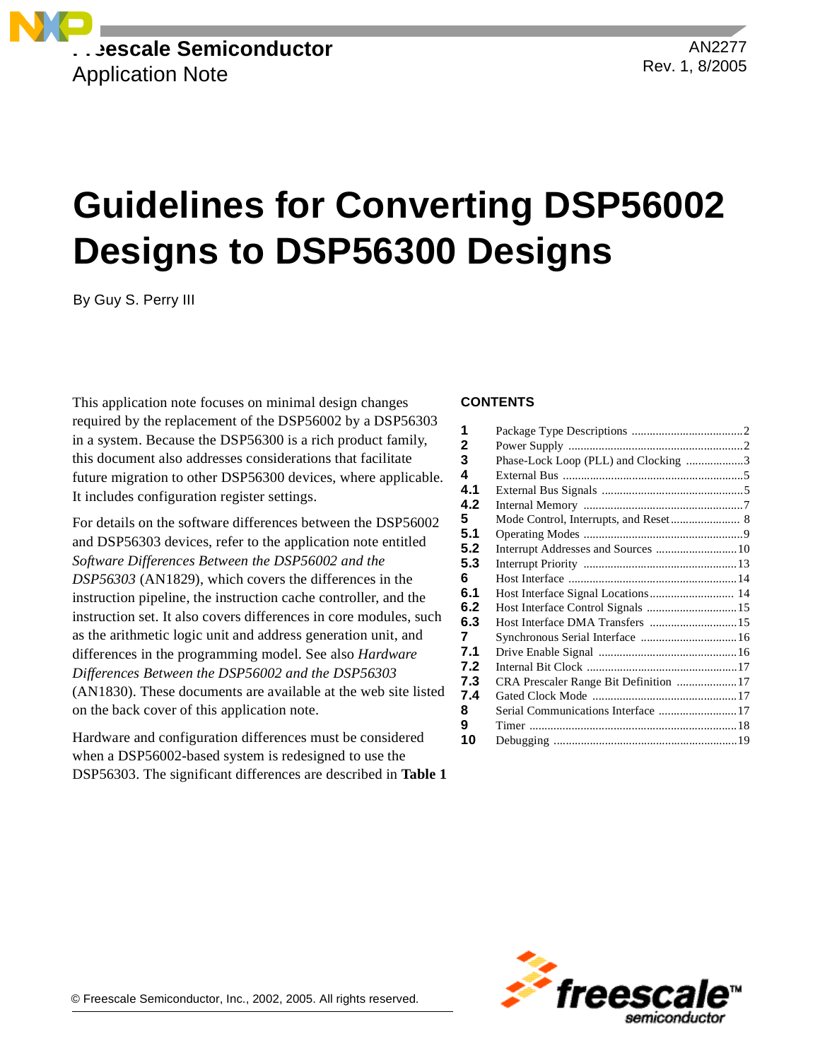**Freescale Semiconductor** Application Note

AN2277 Rev. 1, 8/2005

# **Guidelines for Converting DSP56002 Designs to DSP56300 Designs**

By Guy S. Perry III

This application note focuses on minimal design changes required by the replacement of the DSP56002 by a DSP56303 in a system. Because the DSP56300 is a rich product family, this document also addresses considerations that facilitate future migration to other DSP56300 devices, where applicable. It includes configuration register settings.

For details on the software differences between the DSP56002 and DSP56303 devices, refer to the application note entitled *Software Differences Between the DSP56002 and the DSP56303* (AN1829), which covers the differences in the instruction pipeline, the instruction cache controller, and the instruction set. It also covers differences in core modules, such as the arithmetic logic unit and address generation unit, and differences in the programming model. See also *Hardware Differences Between the DSP56002 and the DSP56303* (AN1830). These documents are available at the web site listed on the back cover of this application note.

Hardware and configuration differences must be considered when a DSP56002-based system is redesigned to use the DSP56303. The significant differences are described in **[Table 1](#page-1-0)**

### **CONTENTS**

| 1   |                                      |  |
|-----|--------------------------------------|--|
| 2   |                                      |  |
| 3   | Phase-Lock Loop (PLL) and Clocking 3 |  |
| 4   |                                      |  |
| 4.1 |                                      |  |
| 4.2 |                                      |  |
| 5   |                                      |  |
| 5.1 |                                      |  |
| 5.2 | Interrupt Addresses and Sources  10  |  |
| 5.3 |                                      |  |
| 6   |                                      |  |
| 6.1 |                                      |  |
| 6.2 | Host Interface Control Signals  15   |  |
| 6.3 | Host Interface DMA Transfers  15     |  |
| 7   | Synchronous Serial Interface  16     |  |
| 7.1 |                                      |  |
| 7.2 |                                      |  |
| 7.3 |                                      |  |
| 7.4 |                                      |  |
| 8   | Serial Communications Interface 17   |  |
| 9   |                                      |  |
| 10  |                                      |  |
|     |                                      |  |

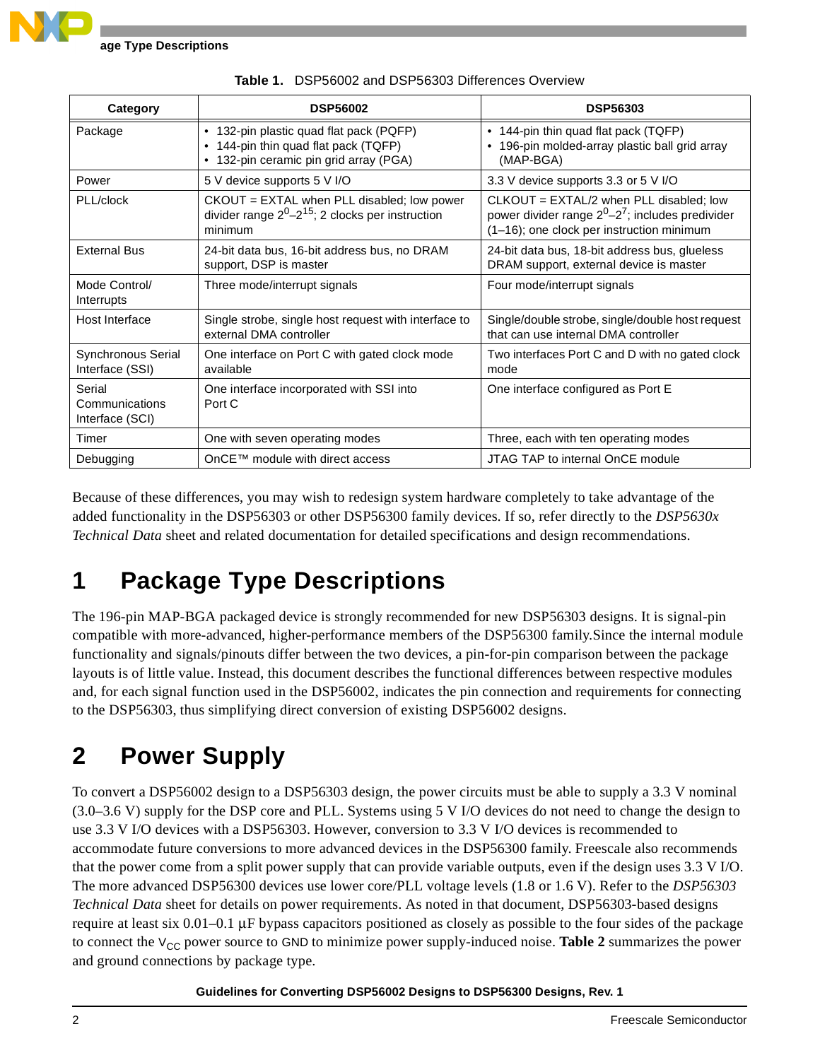<span id="page-1-0"></span>

| Category                                    | <b>DSP56002</b>                                                                                                           | <b>DSP56303</b>                                                                                                                                 |
|---------------------------------------------|---------------------------------------------------------------------------------------------------------------------------|-------------------------------------------------------------------------------------------------------------------------------------------------|
| Package                                     | • 132-pin plastic quad flat pack (PQFP)<br>• 144-pin thin quad flat pack (TQFP)<br>• 132-pin ceramic pin grid array (PGA) | • 144-pin thin quad flat pack (TQFP)<br>• 196-pin molded-array plastic ball grid array<br>(MAP-BGA)                                             |
| Power                                       | 5 V device supports 5 V I/O                                                                                               | 3.3 V device supports 3.3 or 5 V I/O                                                                                                            |
| PLL/clock                                   | $CKOUT = EXTAL$ when PLL disabled; low power<br>divider range $2^0-2^{15}$ ; 2 clocks per instruction<br>minimum          | $CLKOUT = EXTAL/2$ when PLL disabled; low<br>power divider range $2^0 - 2^7$ ; includes predivider<br>(1-16); one clock per instruction minimum |
| <b>External Bus</b>                         | 24-bit data bus, 16-bit address bus, no DRAM<br>support, DSP is master                                                    | 24-bit data bus, 18-bit address bus, glueless<br>DRAM support, external device is master                                                        |
| Mode Control/<br><b>Interrupts</b>          | Three mode/interrupt signals                                                                                              | Four mode/interrupt signals                                                                                                                     |
| Host Interface                              | Single strobe, single host request with interface to<br>external DMA controller                                           | Single/double strobe, single/double host request<br>that can use internal DMA controller                                                        |
| Synchronous Serial<br>Interface (SSI)       | One interface on Port C with gated clock mode<br>available                                                                | Two interfaces Port C and D with no gated clock<br>mode                                                                                         |
| Serial<br>Communications<br>Interface (SCI) | One interface incorporated with SSI into<br>Port C                                                                        | One interface configured as Port E                                                                                                              |
| Timer                                       | One with seven operating modes                                                                                            | Three, each with ten operating modes                                                                                                            |
| Debugging                                   | OnCE™ module with direct access                                                                                           | JTAG TAP to internal OnCE module                                                                                                                |

**Table 1.** DSP56002 and DSP56303 Differences Overview

Because of these differences, you may wish to redesign system hardware completely to take advantage of the added functionality in the DSP56303 or other DSP56300 family devices. If so, refer directly to the *DSP5630x Technical Data* sheet and related documentation for detailed specifications and design recommendations.

# **1 Package Type Descriptions**

The 196-pin MAP-BGA packaged device is strongly recommended for new DSP56303 designs. It is signal-pin compatible with more-advanced, higher-performance members of the DSP56300 family.Since the internal module functionality and signals/pinouts differ between the two devices, a pin-for-pin comparison between the package layouts is of little value. Instead, this document describes the functional differences between respective modules and, for each signal function used in the DSP56002, indicates the pin connection and requirements for connecting to the DSP56303, thus simplifying direct conversion of existing DSP56002 designs.

# **2 Power Supply**

To convert a DSP56002 design to a DSP56303 design, the power circuits must be able to supply a 3.3 V nominal (3.0–3.6 V) supply for the DSP core and PLL. Systems using 5 V I/O devices do not need to change the design to use 3.3 V I/O devices with a DSP56303. However, conversion to 3.3 V I/O devices is recommended to accommodate future conversions to more advanced devices in the DSP56300 family. Freescale also recommends that the power come from a split power supply that can provide variable outputs, even if the design uses 3.3 V I/O. The more advanced DSP56300 devices use lower core/PLL voltage levels (1.8 or 1.6 V). Refer to the *DSP56303 Technical Data* sheet for details on power requirements. As noted in that document, DSP56303-based designs require at least six  $0.01-0.1$   $\mu$ F bypass capacitors positioned as closely as possible to the four sides of the package to connect the V<sub>CC</sub> power source to GND to minimize power supply-induced noise. **[Table 2](#page-2-0)** summarizes the power and ground connections by package type.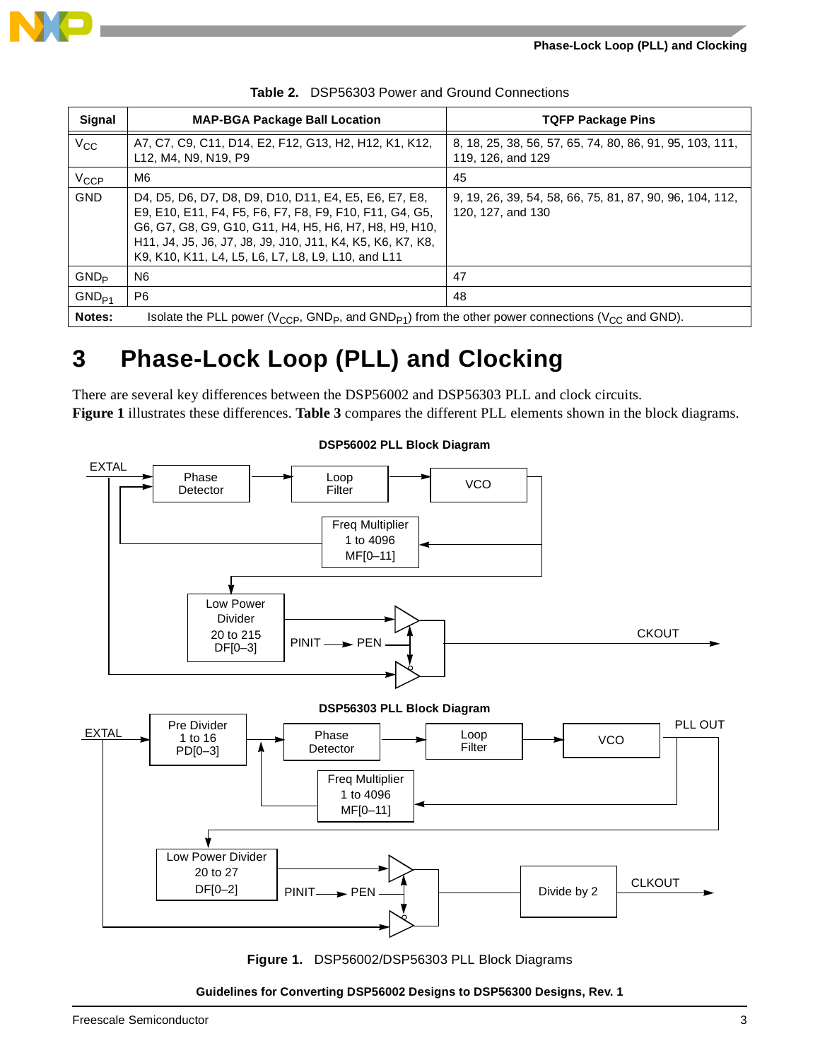

<span id="page-2-0"></span>

| <b>Signal</b> | <b>MAP-BGA Package Ball Location</b>                                                                                                                                                                                                                                                           | <b>TQFP Package Pins</b>                                                      |  |
|---------------|------------------------------------------------------------------------------------------------------------------------------------------------------------------------------------------------------------------------------------------------------------------------------------------------|-------------------------------------------------------------------------------|--|
| $V_{CC}$      | A7, C7, C9, C11, D14, E2, F12, G13, H2, H12, K1, K12,<br>L12, M4, N9, N19, P9                                                                                                                                                                                                                  | 8, 18, 25, 38, 56, 57, 65, 74, 80, 86, 91, 95, 103, 111,<br>119, 126, and 129 |  |
| $V_{CCP}$     | M6                                                                                                                                                                                                                                                                                             | 45                                                                            |  |
| <b>GND</b>    | D4, D5, D6, D7, D8, D9, D10, D11, E4, E5, E6, E7, E8,<br>E9, E10, E11, F4, F5, F6, F7, F8, F9, F10, F11, G4, G5,<br>G6, G7, G8, G9, G10, G11, H4, H5, H6, H7, H8, H9, H10,<br>H11, J4, J5, J6, J7, J8, J9, J10, J11, K4, K5, K6, K7, K8,<br>K9, K10, K11, L4, L5, L6, L7, L8, L9, L10, and L11 | 9, 19, 26, 39, 54, 58, 66, 75, 81, 87, 90, 96, 104, 112,<br>120, 127, and 130 |  |
| $GND_{P}$     | N <sub>6</sub>                                                                                                                                                                                                                                                                                 | 47                                                                            |  |
| $GND_{P1}$    | P <sub>6</sub>                                                                                                                                                                                                                                                                                 | 48                                                                            |  |
| Notes:        | Isolate the PLL power (V <sub>CCP</sub> , GND <sub>P</sub> , and GND <sub>P1</sub> ) from the other power connections (V <sub>CC</sub> and GND).                                                                                                                                               |                                                                               |  |

|  |  | Table 2. DSP56303 Power and Ground Connections |
|--|--|------------------------------------------------|
|  |  |                                                |

# **3 Phase-Lock Loop (PLL) and Clocking**

There are several key differences between the DSP56002 and DSP56303 PLL and clock circuits. **[Figure 1](#page-2-1)** illustrates these differences. **[Table 3](#page-3-0)** compares the different PLL elements shown in the block diagrams.



**DSP56002 PLL Block Diagram**

<span id="page-2-1"></span>**Figure 1.** DSP56002/DSP56303 PLL Block Diagrams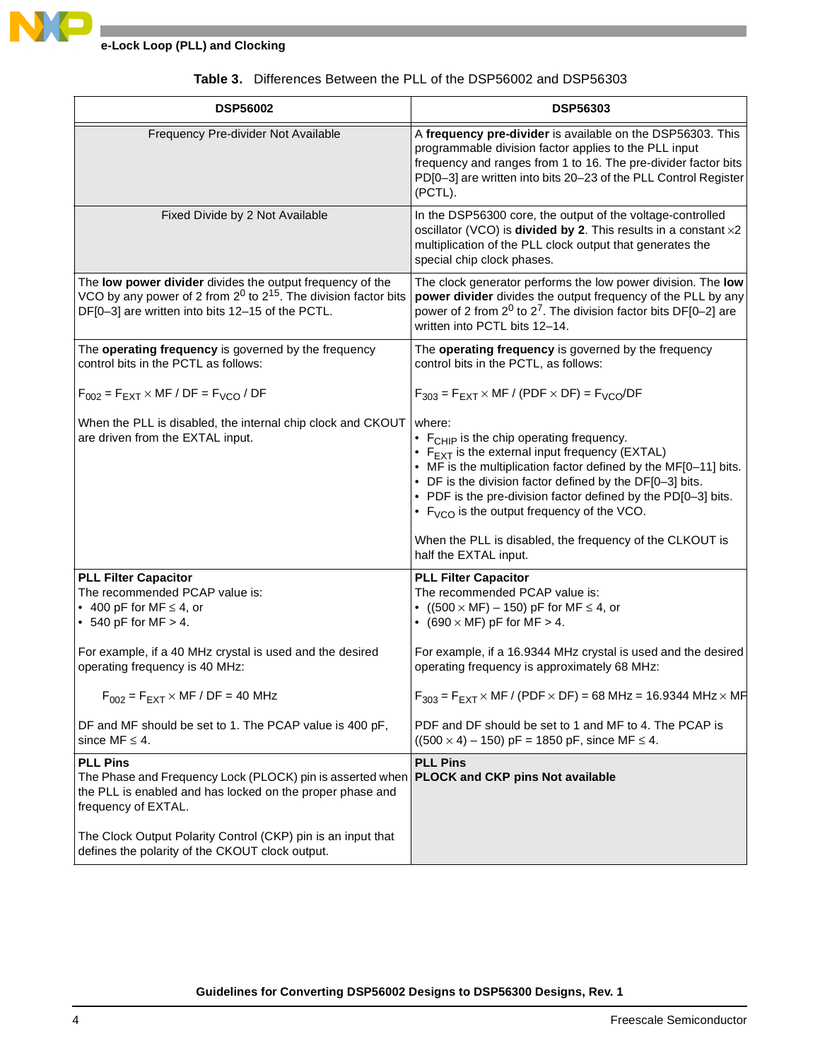

<span id="page-3-0"></span>

| <b>DSP56002</b>                                                                                                                                                                                          | <b>DSP56303</b>                                                                                                                                                                                                                                                                                                                                                                                                                                                      |
|----------------------------------------------------------------------------------------------------------------------------------------------------------------------------------------------------------|----------------------------------------------------------------------------------------------------------------------------------------------------------------------------------------------------------------------------------------------------------------------------------------------------------------------------------------------------------------------------------------------------------------------------------------------------------------------|
| Frequency Pre-divider Not Available                                                                                                                                                                      | A frequency pre-divider is available on the DSP56303. This<br>programmable division factor applies to the PLL input<br>frequency and ranges from 1 to 16. The pre-divider factor bits<br>PD[0-3] are written into bits 20-23 of the PLL Control Register<br>(PCTL).                                                                                                                                                                                                  |
| Fixed Divide by 2 Not Available                                                                                                                                                                          | In the DSP56300 core, the output of the voltage-controlled<br>oscillator (VCO) is divided by 2. This results in a constant x2<br>multiplication of the PLL clock output that generates the<br>special chip clock phases.                                                                                                                                                                                                                                             |
| The low power divider divides the output frequency of the<br>VCO by any power of 2 from $2^0$ to $2^{15}$ . The division factor bits<br>DF[0-3] are written into bits 12-15 of the PCTL.                 | The clock generator performs the low power division. The low<br>power divider divides the output frequency of the PLL by any<br>power of 2 from $2^0$ to $2^7$ . The division factor bits DF[0-2] are<br>written into PCTL bits 12-14.                                                                                                                                                                                                                               |
| The operating frequency is governed by the frequency<br>control bits in the PCTL as follows:                                                                                                             | The operating frequency is governed by the frequency<br>control bits in the PCTL, as follows:                                                                                                                                                                                                                                                                                                                                                                        |
| $F_{002}$ = $F_{EXT}$ × MF / DF = $F_{VCO}$ / DF                                                                                                                                                         | $F_{303}$ = $F_{EXT}$ × MF / (PDF × DF) = $F_{VCO}/DF$                                                                                                                                                                                                                                                                                                                                                                                                               |
| When the PLL is disabled, the internal chip clock and CKOUT<br>are driven from the EXTAL input.                                                                                                          | where:<br>• F <sub>CHIP</sub> is the chip operating frequency.<br>• $F_{\text{EXT}}$ is the external input frequency (EXTAL)<br>• MF is the multiplication factor defined by the MF[0-11] bits.<br>• DF is the division factor defined by the DF[0-3] bits.<br>• PDF is the pre-division factor defined by the PD[0-3] bits.<br>• $F_{VCO}$ is the output frequency of the VCO.<br>When the PLL is disabled, the frequency of the CLKOUT is<br>half the EXTAL input. |
| <b>PLL Filter Capacitor</b>                                                                                                                                                                              | <b>PLL Filter Capacitor</b>                                                                                                                                                                                                                                                                                                                                                                                                                                          |
| The recommended PCAP value is:<br>• 400 pF for MF $\leq$ 4, or<br>• 540 pF for MF $> 4$ .                                                                                                                | The recommended PCAP value is:<br>• $((500 \times MF) - 150)$ pF for MF $\leq 4$ , or<br>• (690 $\times$ MF) pF for MF $>$ 4.                                                                                                                                                                                                                                                                                                                                        |
| For example, if a 40 MHz crystal is used and the desired<br>operating frequency is 40 MHz:                                                                                                               | For example, if a 16.9344 MHz crystal is used and the desired<br>operating frequency is approximately 68 MHz:                                                                                                                                                                                                                                                                                                                                                        |
| $F_{002}$ = $F_{EXT}$ × MF / DF = 40 MHz                                                                                                                                                                 | $F_{303} = F_{EXT} \times MF / (PDF \times DF) = 68 MHz = 16.9344 MHz \times MF$                                                                                                                                                                                                                                                                                                                                                                                     |
| DF and MF should be set to 1. The PCAP value is 400 pF,<br>since MF $\leq$ 4.                                                                                                                            | PDF and DF should be set to 1 and MF to 4. The PCAP is<br>$((500 \times 4) - 150)$ pF = 1850 pF, since MF $\leq$ 4.                                                                                                                                                                                                                                                                                                                                                  |
| <b>PLL Pins</b><br>The Phase and Frequency Lock (PLOCK) pin is asserted when <b>PLOCK and CKP pins Not available</b><br>the PLL is enabled and has locked on the proper phase and<br>frequency of EXTAL. | <b>PLL Pins</b>                                                                                                                                                                                                                                                                                                                                                                                                                                                      |
| The Clock Output Polarity Control (CKP) pin is an input that<br>defines the polarity of the CKOUT clock output.                                                                                          |                                                                                                                                                                                                                                                                                                                                                                                                                                                                      |

### **Table 3.** Differences Between the PLL of the DSP56002 and DSP56303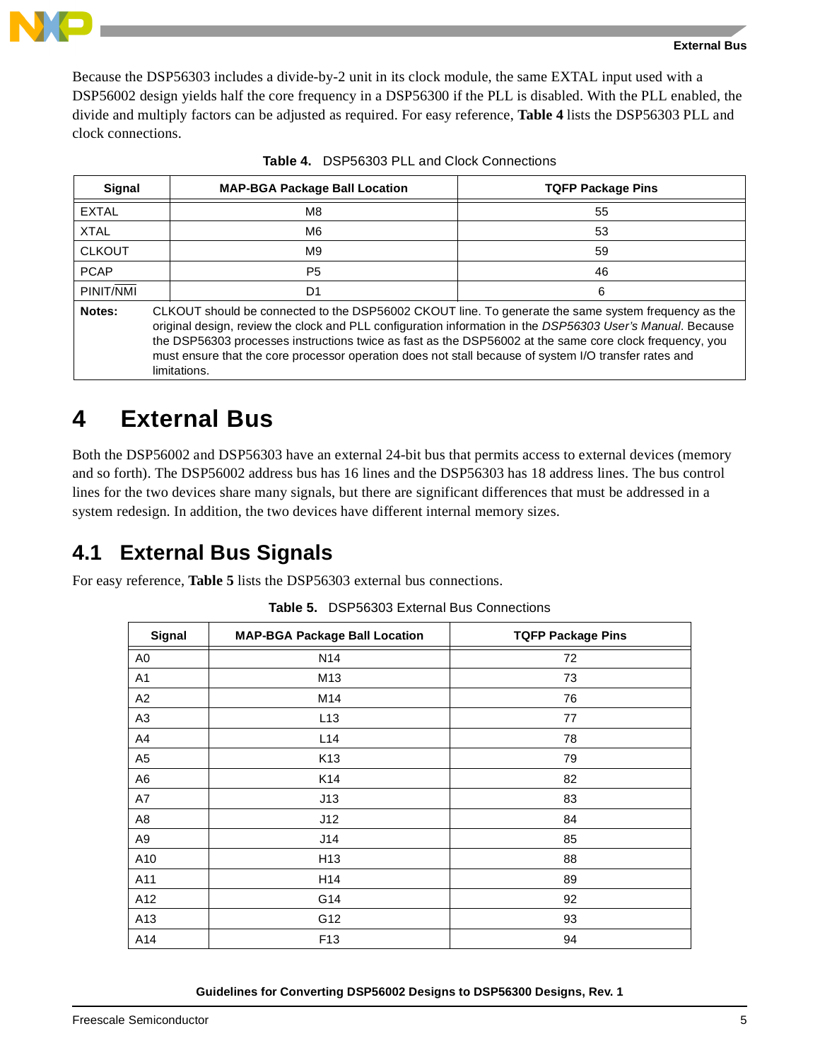

Because the DSP56303 includes a divide-by-2 unit in its clock module, the same EXTAL input used with a DSP56002 design yields half the core frequency in a DSP56300 if the PLL is disabled. With the PLL enabled, the divide and multiply factors can be adjusted as required. For easy reference, **[Table 4](#page-4-0)** lists the DSP56303 PLL and clock connections.

<span id="page-4-0"></span>

| Signal        |                                                                                                                                                                                                                                                                                                                                                                                                                                                       | <b>MAP-BGA Package Ball Location</b> | <b>TQFP Package Pins</b> |  |  |
|---------------|-------------------------------------------------------------------------------------------------------------------------------------------------------------------------------------------------------------------------------------------------------------------------------------------------------------------------------------------------------------------------------------------------------------------------------------------------------|--------------------------------------|--------------------------|--|--|
| <b>EXTAL</b>  |                                                                                                                                                                                                                                                                                                                                                                                                                                                       | M8                                   | 55                       |  |  |
| <b>XTAL</b>   |                                                                                                                                                                                                                                                                                                                                                                                                                                                       | M <sub>6</sub>                       | 53                       |  |  |
| <b>CLKOUT</b> |                                                                                                                                                                                                                                                                                                                                                                                                                                                       | M9                                   | 59                       |  |  |
| <b>PCAP</b>   |                                                                                                                                                                                                                                                                                                                                                                                                                                                       | P <sub>5</sub>                       | 46                       |  |  |
| PINIT/NMI     |                                                                                                                                                                                                                                                                                                                                                                                                                                                       | D1<br>6                              |                          |  |  |
| Notes:        | CLKOUT should be connected to the DSP56002 CKOUT line. To generate the same system frequency as the<br>original design, review the clock and PLL configuration information in the DSP56303 User's Manual. Because<br>the DSP56303 processes instructions twice as fast as the DSP56002 at the same core clock frequency, you<br>must ensure that the core processor operation does not stall because of system I/O transfer rates and<br>limitations. |                                      |                          |  |  |

| <b>Table 4.</b> DSP56303 PLL and Clock Connections |
|----------------------------------------------------|
|----------------------------------------------------|

### **4 External Bus**

Both the DSP56002 and DSP56303 have an external 24-bit bus that permits access to external devices (memory and so forth). The DSP56002 address bus has 16 lines and the DSP56303 has 18 address lines. The bus control lines for the two devices share many signals, but there are significant differences that must be addressed in a system redesign. In addition, the two devices have different internal memory sizes.

### **4.1 External Bus Signals**

<span id="page-4-1"></span>For easy reference, **[Table 5](#page-4-1)** lists the DSP56303 external bus connections.

| Signal         | <b>MAP-BGA Package Ball Location</b> | <b>TQFP Package Pins</b> |
|----------------|--------------------------------------|--------------------------|
| A <sub>0</sub> | N <sub>14</sub>                      | 72                       |
| A1             | M <sub>13</sub>                      | 73                       |
| A2             | M14                                  | 76                       |
| A <sub>3</sub> | L13                                  | 77                       |
| A4             | L14                                  | 78                       |
| A <sub>5</sub> | K <sub>13</sub>                      | 79                       |
| A <sub>6</sub> | K14                                  | 82                       |
| A7             | J13                                  | 83                       |
| A8             | J12                                  | 84                       |
| A <sub>9</sub> | J14                                  | 85                       |
| A10            | H <sub>13</sub>                      | 88                       |
| A11            | H14                                  | 89                       |
| A12            | G14                                  | 92                       |
| A13            | G12                                  | 93                       |
| A14            | F <sub>13</sub>                      | 94                       |

**Table 5.** DSP56303 External Bus Connections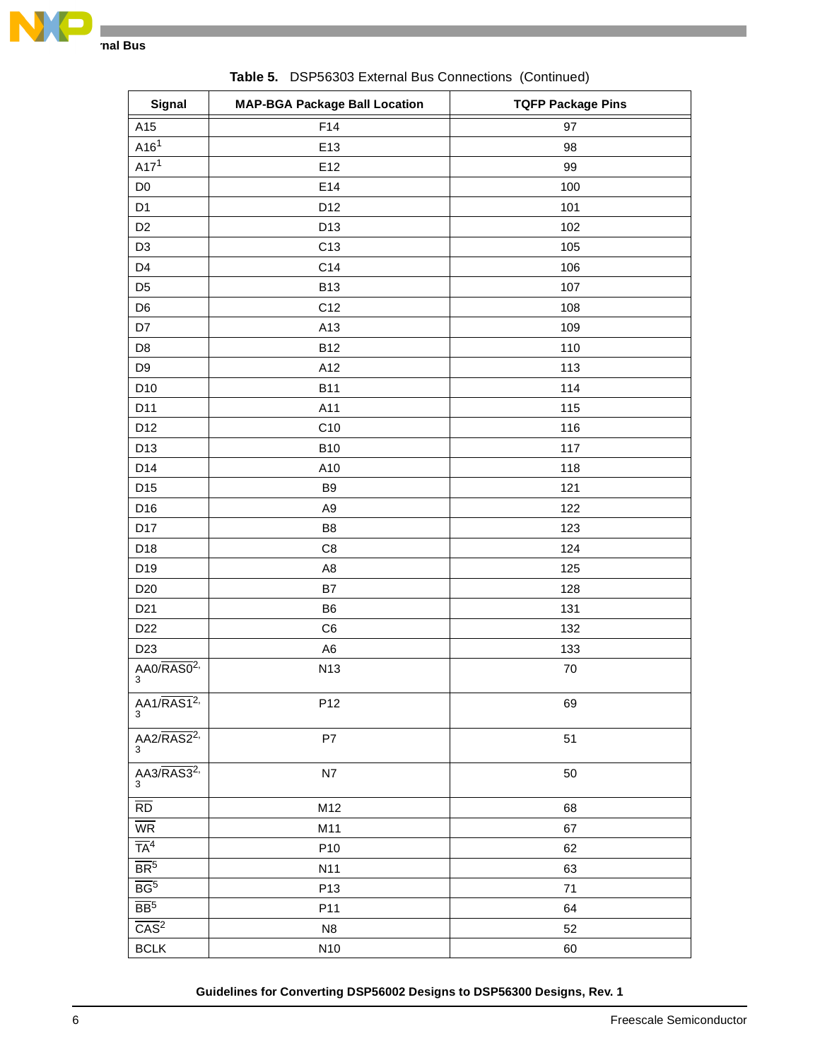

| Signal                                                                               | <b>MAP-BGA Package Ball Location</b> | <b>TQFP Package Pins</b> |
|--------------------------------------------------------------------------------------|--------------------------------------|--------------------------|
| A15                                                                                  | F14                                  | 97                       |
| A16 <sup>1</sup>                                                                     | E13                                  | 98                       |
| A17 <sup>1</sup>                                                                     | E12                                  | 99                       |
| D <sub>0</sub>                                                                       | E14                                  | 100                      |
| D <sub>1</sub>                                                                       | D12                                  | 101                      |
| D <sub>2</sub>                                                                       | D13                                  | 102                      |
| D <sub>3</sub>                                                                       | C <sub>13</sub>                      | 105                      |
| D <sub>4</sub>                                                                       | C14                                  | 106                      |
| D <sub>5</sub>                                                                       | <b>B13</b>                           | 107                      |
| D <sub>6</sub>                                                                       | C12                                  | 108                      |
| D7                                                                                   | A13                                  | 109                      |
| D <sub>8</sub>                                                                       | <b>B12</b>                           | 110                      |
| D <sub>9</sub>                                                                       | A12                                  | 113                      |
| D <sub>10</sub>                                                                      | <b>B11</b>                           | 114                      |
| D11                                                                                  | A11                                  | 115                      |
| D12                                                                                  | C10                                  | 116                      |
| D13                                                                                  | <b>B10</b>                           | 117                      |
| D14                                                                                  | A10                                  | 118                      |
| D15                                                                                  | B <sub>9</sub>                       | 121                      |
| D16                                                                                  | A <sub>9</sub>                       | 122                      |
| D17                                                                                  | B <sub>8</sub>                       | 123                      |
| D18                                                                                  | C <sub>8</sub>                       | 124                      |
| D19                                                                                  | A <sub>8</sub>                       | 125                      |
| D <sub>20</sub>                                                                      | B7                                   | 128                      |
| D <sub>21</sub>                                                                      | B <sub>6</sub>                       | 131                      |
| D <sub>22</sub>                                                                      | C <sub>6</sub>                       | 132                      |
| D <sub>23</sub>                                                                      | A <sub>6</sub>                       | 133                      |
| AA0/RAS0 <sup>2</sup><br>3                                                           | N13                                  | $70\,$                   |
| AA1/RAS1 <sup>2</sup><br>3                                                           | P12                                  | 69                       |
| AA2/RAS2 <sup>2</sup><br>3                                                           | P7                                   | 51                       |
| $\frac{\overline{A A 3/R A S 3^{2}}}{3}$                                             | N7                                   | 50                       |
| $\overline{RD}$                                                                      | M12                                  | 68                       |
| $\overline{\text{WR}}$                                                               | M11                                  | 67                       |
| $\overline{TA}^4$                                                                    | P <sub>10</sub>                      | 62                       |
| $\frac{\overline{BR^5}}{\overline{BR^5}}$ $\frac{\overline{BR^5}}{\overline{CAS^2}}$ | N11                                  | 63                       |
|                                                                                      | P <sub>13</sub>                      | 71                       |
|                                                                                      | P11                                  | 64                       |
|                                                                                      | N <sub>8</sub>                       | 52                       |
| BCLK                                                                                 | N10                                  | 60                       |

**Table 5.** DSP56303 External Bus Connections (Continued)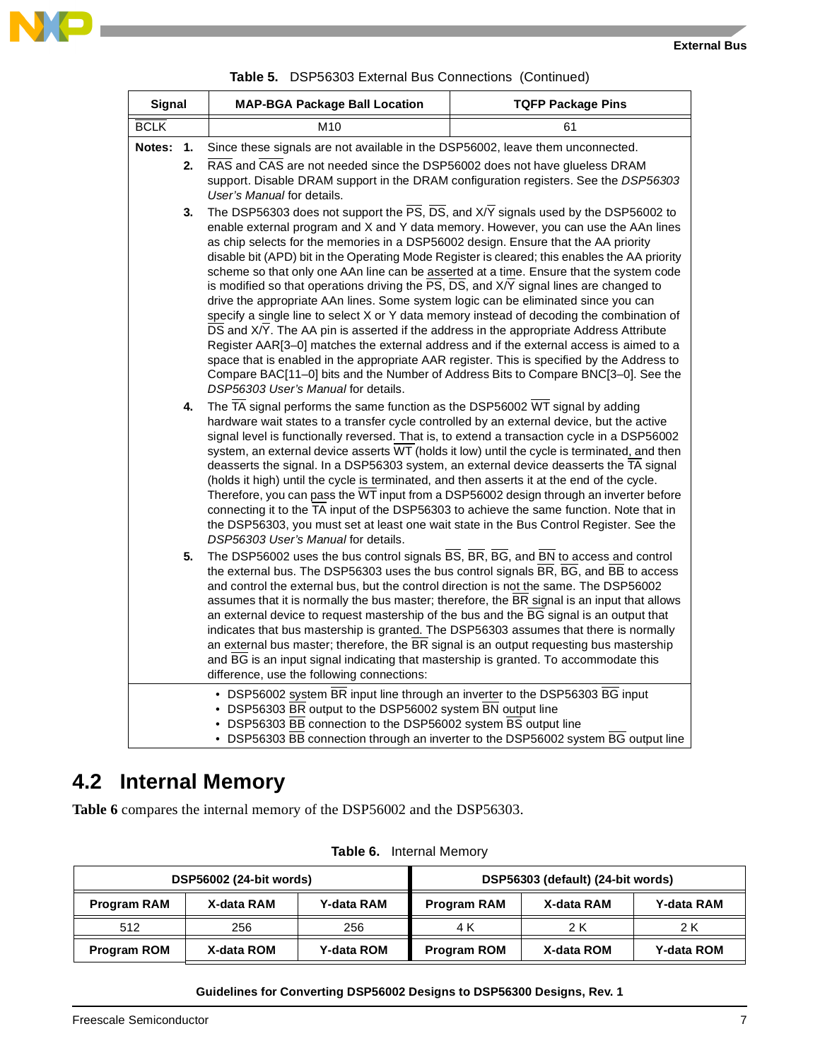

|               | <b>Table 5.</b> DSP56303 External Bus Connections (Continued)    |                                                                                                                                                                                                                                                                                                                                                                                                                                                                                                                                                                                                                                                                                                                                                                                                                                                                                                                                                                                                                                                                                                                                                                                       |                                                                                    |  |
|---------------|------------------------------------------------------------------|---------------------------------------------------------------------------------------------------------------------------------------------------------------------------------------------------------------------------------------------------------------------------------------------------------------------------------------------------------------------------------------------------------------------------------------------------------------------------------------------------------------------------------------------------------------------------------------------------------------------------------------------------------------------------------------------------------------------------------------------------------------------------------------------------------------------------------------------------------------------------------------------------------------------------------------------------------------------------------------------------------------------------------------------------------------------------------------------------------------------------------------------------------------------------------------|------------------------------------------------------------------------------------|--|
| <b>Signal</b> | <b>MAP-BGA Package Ball Location</b><br><b>TQFP Package Pins</b> |                                                                                                                                                                                                                                                                                                                                                                                                                                                                                                                                                                                                                                                                                                                                                                                                                                                                                                                                                                                                                                                                                                                                                                                       |                                                                                    |  |
| <b>BCLK</b>   |                                                                  | M <sub>10</sub>                                                                                                                                                                                                                                                                                                                                                                                                                                                                                                                                                                                                                                                                                                                                                                                                                                                                                                                                                                                                                                                                                                                                                                       | 61                                                                                 |  |
| Notes:        | 1.                                                               | Since these signals are not available in the DSP56002, leave them unconnected.                                                                                                                                                                                                                                                                                                                                                                                                                                                                                                                                                                                                                                                                                                                                                                                                                                                                                                                                                                                                                                                                                                        |                                                                                    |  |
|               | 2.                                                               | RAS and CAS are not needed since the DSP56002 does not have glueless DRAM<br>support. Disable DRAM support in the DRAM configuration registers. See the DSP56303<br>User's Manual for details.                                                                                                                                                                                                                                                                                                                                                                                                                                                                                                                                                                                                                                                                                                                                                                                                                                                                                                                                                                                        |                                                                                    |  |
|               | 3.                                                               | The DSP56303 does not support the $\overline{PS}$ , $\overline{DS}$ , and $X/Y$ signals used by the DSP56002 to<br>enable external program and X and Y data memory. However, you can use the AAn lines<br>as chip selects for the memories in a DSP56002 design. Ensure that the AA priority<br>disable bit (APD) bit in the Operating Mode Register is cleared; this enables the AA priority<br>scheme so that only one AAn line can be asserted at a time. Ensure that the system code<br>is modified so that operations driving the PS, DS, and X/Y signal lines are changed to<br>drive the appropriate AAn lines. Some system logic can be eliminated since you can<br>specify a single line to select X or Y data memory instead of decoding the combination of<br>DS and X/Y. The AA pin is asserted if the address in the appropriate Address Attribute<br>Register AAR[3-0] matches the external address and if the external access is aimed to a<br>space that is enabled in the appropriate AAR register. This is specified by the Address to<br>Compare BAC[11-0] bits and the Number of Address Bits to Compare BNC[3-0]. See the<br>DSP56303 User's Manual for details. |                                                                                    |  |
|               | 4.                                                               | The $\overline{TA}$ signal performs the same function as the DSP56002 $\overline{WT}$ signal by adding<br>hardware wait states to a transfer cycle controlled by an external device, but the active<br>signal level is functionally reversed. That is, to extend a transaction cycle in a DSP56002<br>system, an external device asserts WT (holds it low) until the cycle is terminated, and then<br>deasserts the signal. In a DSP56303 system, an external device deasserts the TA signal<br>(holds it high) until the cycle is terminated, and then asserts it at the end of the cycle.<br>Therefore, you can pass the WT input from a DSP56002 design through an inverter before<br>connecting it to the TA input of the DSP56303 to achieve the same function. Note that in<br>the DSP56303, you must set at least one wait state in the Bus Control Register. See the<br>DSP56303 User's Manual for details.                                                                                                                                                                                                                                                                   |                                                                                    |  |
|               | 5.                                                               | The DSP56002 uses the bus control signals BS, BR, BG, and BN to access and control<br>the external bus. The DSP56303 uses the bus control signals BR, BG, and BB to access<br>and control the external bus, but the control direction is not the same. The DSP56002<br>assumes that it is normally the bus master; therefore, the BR signal is an input that allows<br>an external device to request mastership of the bus and the BG signal is an output that<br>indicates that bus mastership is granted. The DSP56303 assumes that there is normally<br>an external bus master; therefore, the BR signal is an output requesting bus mastership<br>and BG is an input signal indicating that mastership is granted. To accommodate this<br>difference, use the following connections:                                                                                                                                                                                                                                                                                                                                                                                              |                                                                                    |  |
|               |                                                                  | • DSP56002 system BR input line through an inverter to the DSP56303 BG input<br>• DSP56303 BR output to the DSP56002 system BN output line<br>• DSP56303 BB connection to the DSP56002 system BS output line                                                                                                                                                                                                                                                                                                                                                                                                                                                                                                                                                                                                                                                                                                                                                                                                                                                                                                                                                                          | • DSP56303 BB connection through an inverter to the DSP56002 system BG output line |  |

|  |  |  | Table 5. DSP56303 External Bus Connections (Continued) |  |  |
|--|--|--|--------------------------------------------------------|--|--|
|--|--|--|--------------------------------------------------------|--|--|

## **4.2 Internal Memory**

**[Table 6](#page-6-0)** compares the internal memory of the DSP56002 and the DSP56303.

<span id="page-6-0"></span>

| DSP56002 (24-bit words) |            |                   | DSP56303 (default) (24-bit words) |            |                   |
|-------------------------|------------|-------------------|-----------------------------------|------------|-------------------|
| <b>Program RAM</b>      | X-data RAM | <b>Y-data RAM</b> | <b>Program RAM</b>                | X-data RAM | <b>Y-data RAM</b> |
| 512                     | 256        | 256               | 4 K                               | 2 K        | 2 K               |
| <b>Program ROM</b>      | X-data ROM | <b>Y-data ROM</b> | <b>Program ROM</b>                | X-data ROM | <b>Y-data ROM</b> |

**Table 6.** Internal Memory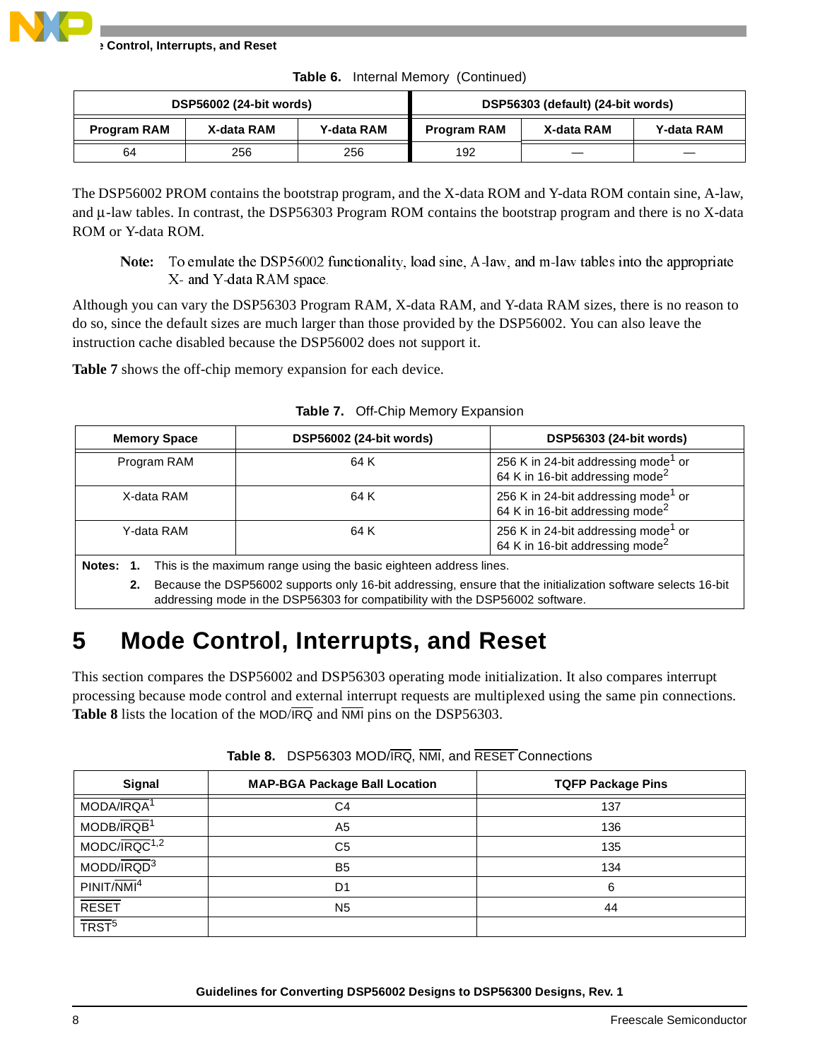|  | Table 6. Internal Memory (Continued) |  |
|--|--------------------------------------|--|
|--|--------------------------------------|--|

|                    | DSP56002 (24-bit words) |                   |                    | DSP56303 (default) (24-bit words) |            |
|--------------------|-------------------------|-------------------|--------------------|-----------------------------------|------------|
| <b>Program RAM</b> | X-data RAM              | <b>Y-data RAM</b> | <b>Program RAM</b> | X-data RAM                        | Y-data RAM |
| 64                 | 256                     | 256               | 192                |                                   |            |

The DSP56002 PROM contains the bootstrap program, and the X-data ROM and Y-data ROM contain sine, A-law, and  $\mu$ -law tables. In contrast, the DSP56303 Program ROM contains the bootstrap program and there is no X-data ROM or Y-data ROM.

Note: To emulate the DSP56002 functionality, load sine, A-law, and m-law tables into the appropriate X- and Y-data RAM space.

Although you can vary the DSP56303 Program RAM, X-data RAM, and Y-data RAM sizes, there is no reason to do so, since the default sizes are much larger than those provided by the DSP56002. You can also leave the instruction cache disabled because the DSP56002 does not support it.

**[Table 7](#page-7-0)** shows the off-chip memory expansion for each device.

<span id="page-7-0"></span>

|                                                                                                                                                                                                     | <b>DSP56002 (24-bit words)</b><br>DSP56303 (24-bit words)<br><b>Memory Space</b>                                     |      |                                                                                                |  |  |  |  |
|-----------------------------------------------------------------------------------------------------------------------------------------------------------------------------------------------------|----------------------------------------------------------------------------------------------------------------------|------|------------------------------------------------------------------------------------------------|--|--|--|--|
|                                                                                                                                                                                                     | Program RAM                                                                                                          | 64 K | 256 K in 24-bit addressing mode <sup>1</sup> or<br>64 K in 16-bit addressing mode <sup>2</sup> |  |  |  |  |
|                                                                                                                                                                                                     | 256 K in 24-bit addressing mode <sup>1</sup> or<br>X-data RAM<br>64 K<br>64 K in 16-bit addressing mode <sup>2</sup> |      |                                                                                                |  |  |  |  |
| 256 K in 24-bit addressing mode <sup>1</sup> or<br>Y-data RAM<br>64 K<br>64 K in 16-bit addressing mode <sup>2</sup>                                                                                |                                                                                                                      |      |                                                                                                |  |  |  |  |
| This is the maximum range using the basic eighteen address lines.<br>Notes: 1.                                                                                                                      |                                                                                                                      |      |                                                                                                |  |  |  |  |
| Because the DSP56002 supports only 16-bit addressing, ensure that the initialization software selects 16-bit<br>2.<br>addressing mode in the DSP56303 for compatibility with the DSP56002 software. |                                                                                                                      |      |                                                                                                |  |  |  |  |

**Table 7.** Off-Chip Memory Expansion

# **5 Mode Control, Interrupts, and Reset**

This section compares the DSP56002 and DSP56303 operating mode initialization. It also compares interrupt processing because mode control and external interrupt requests are multiplexed using the same pin connections. **[Table 8](#page-7-1)** lists the location of the MOD/IRQ and NMI pins on the DSP56303.

<span id="page-7-1"></span>

| Signal                   | <b>MAP-BGA Package Ball Location</b> | <b>TQFP Package Pins</b> |
|--------------------------|--------------------------------------|--------------------------|
| MODA/IRQA <sup>1</sup>   | C4                                   | 137                      |
| MODB/IRQB <sup>1</sup>   | A <sub>5</sub>                       | 136                      |
| MODC/IRQC <sup>1,2</sup> | C5                                   | 135                      |
| MODD/IRQD <sup>3</sup>   | B <sub>5</sub>                       | 134                      |
| PINIT/NMI <sup>4</sup>   | D1                                   | 6                        |
| <b>RESET</b>             | N <sub>5</sub>                       | 44                       |
| TRST <sup>5</sup>        |                                      |                          |

**Table 8.** DSP56303 MOD/IRQ, NMI, and RESET Connections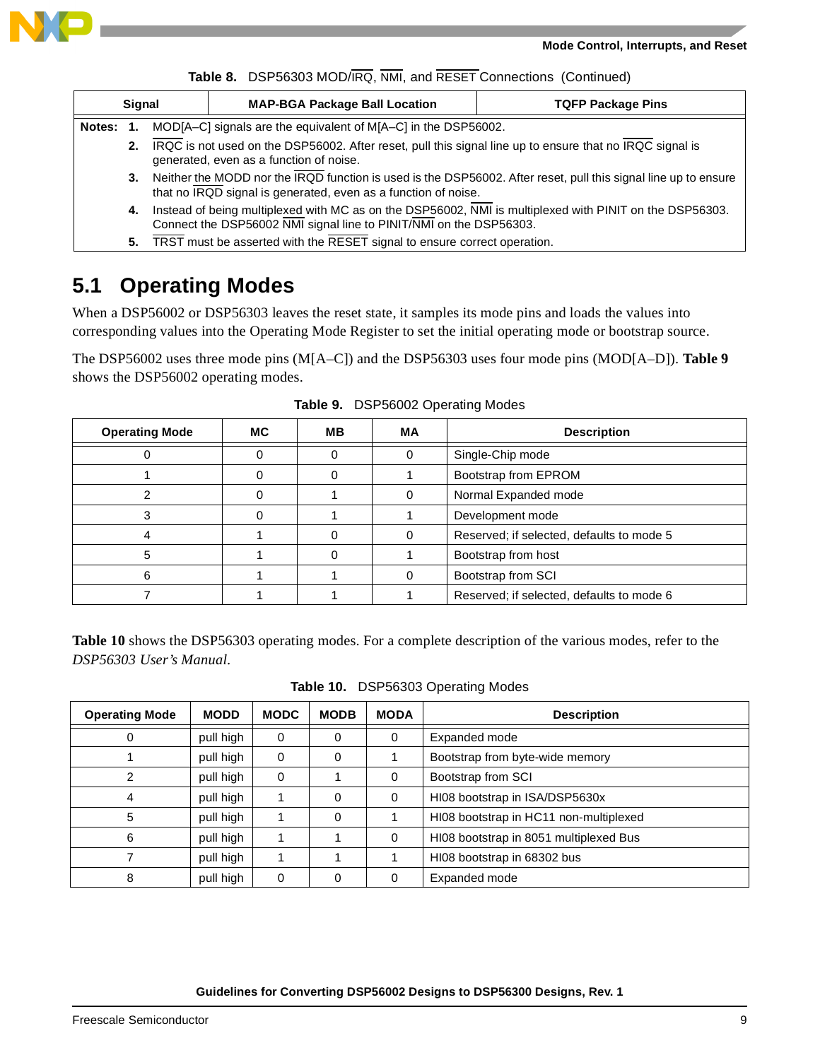

|  |  | Table 8. DSP56303 MOD/IRQ, NMI, and RESET Connections (Continued) |  |
|--|--|-------------------------------------------------------------------|--|
|--|--|-------------------------------------------------------------------|--|

|        | <b>Signal</b> | <b>MAP-BGA Package Ball Location</b>                                                                                                                                              | <b>TQFP Package Pins</b> |  |  |  |
|--------|---------------|-----------------------------------------------------------------------------------------------------------------------------------------------------------------------------------|--------------------------|--|--|--|
| Notes: |               | MOD[A–C] signals are the equivalent of M[A–C] in the DSP56002.                                                                                                                    |                          |  |  |  |
|        | 2.            | IRQC is not used on the DSP56002. After reset, pull this signal line up to ensure that no IRQC signal is<br>generated, even as a function of noise.                               |                          |  |  |  |
|        | 3.            | Neither the MODD nor the IRQD function is used is the DSP56002. After reset, pull this signal line up to ensure<br>that no IRQD signal is generated, even as a function of noise. |                          |  |  |  |
|        | 4.            | Instead of being multiplexed with MC as on the DSP56002, NMI is multiplexed with PINIT on the DSP56303.<br>Connect the DSP56002 NMI signal line to PINIT/NMI on the DSP56303.     |                          |  |  |  |

**5.** TRST must be asserted with the RESET signal to ensure correct operation.

### **5.1 Operating Modes**

When a DSP56002 or DSP56303 leaves the reset state, it samples its mode pins and loads the values into corresponding values into the Operating Mode Register to set the initial operating mode or bootstrap source.

The DSP56002 uses three mode pins (M[A–C]) and the DSP56303 uses four mode pins (MOD[A–D]). **[Table 9](#page-8-0)** shows the DSP56002 operating modes.

<span id="page-8-0"></span>

| <b>Operating Mode</b> | MC. | MВ | МA | <b>Description</b>                        |
|-----------------------|-----|----|----|-------------------------------------------|
|                       | 0   |    |    | Single-Chip mode                          |
|                       | 0   |    |    | Bootstrap from EPROM                      |
|                       | O   |    |    | Normal Expanded mode                      |
|                       |     |    |    | Development mode                          |
|                       |     |    |    | Reserved; if selected, defaults to mode 5 |
|                       |     |    |    | Bootstrap from host                       |
|                       |     |    |    | Bootstrap from SCI                        |
|                       |     |    |    | Reserved; if selected, defaults to mode 6 |

**Table 9.** DSP56002 Operating Modes

**[Table 10](#page-8-1)** shows the DSP56303 operating modes. For a complete description of the various modes, refer to the *DSP56303 User's Manual*.

|  |  | Table 10. DSP56303 Operating Modes |
|--|--|------------------------------------|
|--|--|------------------------------------|

<span id="page-8-1"></span>

| <b>Operating Mode</b> | <b>MODD</b> | <b>MODC</b> | <b>MODB</b> | <b>MODA</b> | <b>Description</b>                     |
|-----------------------|-------------|-------------|-------------|-------------|----------------------------------------|
| 0                     | pull high   | 0           | 0           | $\Omega$    | Expanded mode                          |
|                       | pull high   | $\Omega$    | $\Omega$    |             | Bootstrap from byte-wide memory        |
| 2                     | pull high   | $\Omega$    |             | $\Omega$    | Bootstrap from SCI                     |
| 4                     | pull high   |             | $\Omega$    | $\Omega$    | HI08 bootstrap in ISA/DSP5630x         |
| 5                     | pull high   |             | 0           |             | HI08 bootstrap in HC11 non-multiplexed |
| 6                     | pull high   |             |             | $\Omega$    | HI08 bootstrap in 8051 multiplexed Bus |
|                       | pull high   |             |             |             | HI08 bootstrap in 68302 bus            |
| 8                     | pull high   | 0           | $\Omega$    | $\Omega$    | Expanded mode                          |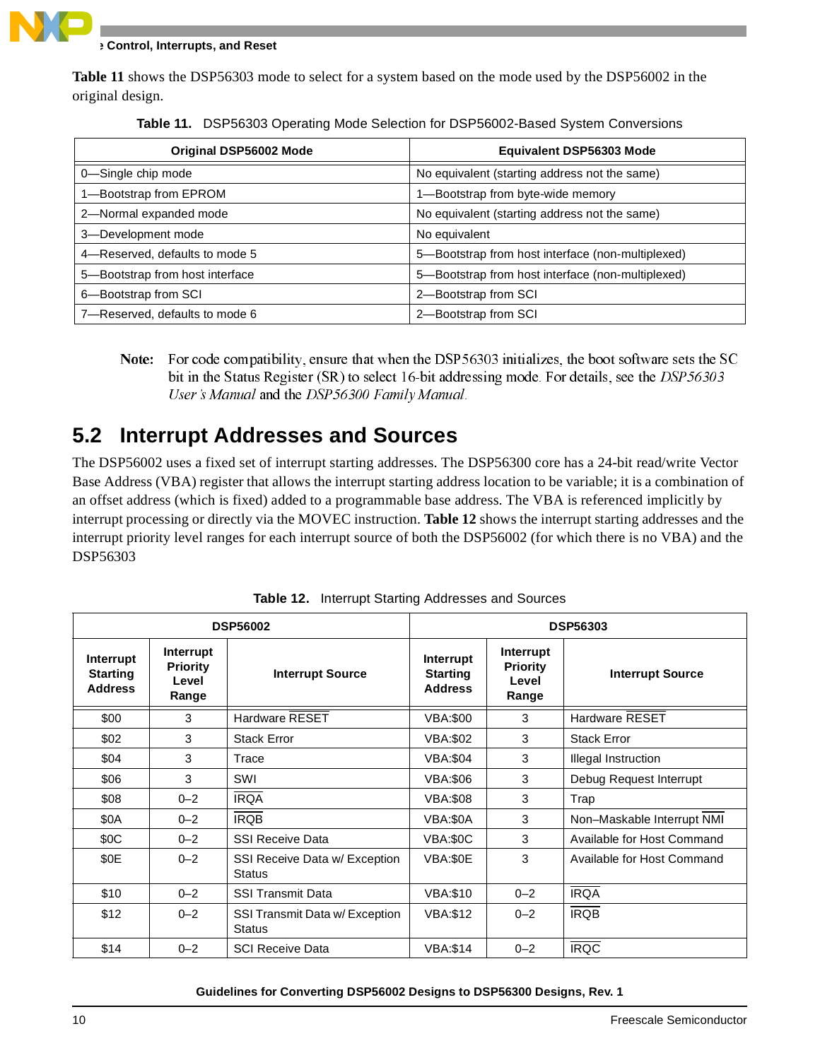

**Mode Control, Interrupts, and Reset**

**[Table 11](#page-9-0)** shows the DSP56303 mode to select for a system based on the mode used by the DSP56002 in the original design.

<span id="page-9-0"></span>

| Original DSP56002 Mode          | <b>Equivalent DSP56303 Mode</b>                   |
|---------------------------------|---------------------------------------------------|
| 0-Single chip mode              | No equivalent (starting address not the same)     |
| 1-Bootstrap from EPROM          | 1-Bootstrap from byte-wide memory                 |
| 2-Normal expanded mode          | No equivalent (starting address not the same)     |
| 3-Development mode              | No equivalent                                     |
| 4-Reserved, defaults to mode 5  | 5-Bootstrap from host interface (non-multiplexed) |
| 5-Bootstrap from host interface | 5-Bootstrap from host interface (non-multiplexed) |
| 6-Bootstrap from SCI            | 2-Bootstrap from SCI                              |
| 7-Reserved, defaults to mode 6  | 2-Bootstrap from SCI                              |

| Table 11. DSP56303 Operating Mode Selection for DSP56002-Based System Conversions |
|-----------------------------------------------------------------------------------|
|-----------------------------------------------------------------------------------|

Note: For code compatibility, ensure that when the DSP56303 initializes, the boot software sets the SC bit in the Status Register (SR) to select 16-bit addressing mode. For details, see the  $DSP\,56303$ User's Manual and the DSP 56300 Family Manual.

### **5.2 Interrupt Addresses and Sources**

The DSP56002 uses a fixed set of interrupt starting addresses. The DSP56300 core has a 24-bit read/write Vector Base Address (VBA) register that allows the interrupt starting address location to be variable; it is a combination of an offset address (which is fixed) added to a programmable base address. The VBA is referenced implicitly by interrupt processing or directly via the MOVEC instruction. **[Table 12](#page-9-1)** shows the interrupt starting addresses and the interrupt priority level ranges for each interrupt source of both the DSP56002 (for which there is no VBA) and the DSP56303

<span id="page-9-1"></span>

|                                                |                                                | <b>DSP56002</b>                                 | <b>DSP56303</b>                                |                                                |                            |  |
|------------------------------------------------|------------------------------------------------|-------------------------------------------------|------------------------------------------------|------------------------------------------------|----------------------------|--|
| Interrupt<br><b>Starting</b><br><b>Address</b> | Interrupt<br><b>Priority</b><br>Level<br>Range | <b>Interrupt Source</b>                         | Interrupt<br><b>Starting</b><br><b>Address</b> | Interrupt<br><b>Priority</b><br>Level<br>Range | <b>Interrupt Source</b>    |  |
| \$00                                           | 3                                              | <b>Hardware RESET</b>                           | <b>VBA:\$00</b>                                | 3                                              | <b>Hardware RESET</b>      |  |
| \$02                                           | 3                                              | <b>Stack Error</b>                              | <b>VBA:\$02</b>                                | 3                                              | <b>Stack Error</b>         |  |
| \$04                                           | 3                                              | Trace                                           | <b>VBA:\$04</b>                                | 3                                              | Illegal Instruction        |  |
| \$06                                           | 3                                              | SWI                                             | <b>VBA:\$06</b>                                | 3                                              | Debug Request Interrupt    |  |
| \$08                                           | $0 - 2$                                        | <b>IRQA</b>                                     | <b>VBA:\$08</b>                                | 3                                              | Trap                       |  |
| \$0A                                           | $0 - 2$                                        | <b>IRQB</b>                                     | VBA:\$0A                                       | 3                                              | Non-Maskable Interrupt NMI |  |
| \$0C                                           | $0 - 2$                                        | <b>SSI Receive Data</b>                         | VBA:\$0C                                       | 3                                              | Available for Host Command |  |
| \$0E                                           | $0 - 2$                                        | SSI Receive Data w/ Exception<br><b>Status</b>  | VBA:\$0E                                       | 3                                              | Available for Host Command |  |
| \$10                                           | $0 - 2$                                        | <b>SSI Transmit Data</b>                        | <b>VBA:\$10</b>                                | $0 - 2$                                        | <b>IRQA</b>                |  |
| \$12                                           | $0 - 2$                                        | SSI Transmit Data w/ Exception<br><b>Status</b> | <b>VBA:\$12</b>                                | $0 - 2$                                        | <b>IRQB</b>                |  |
| \$14                                           | $0 - 2$                                        | <b>SCI Receive Data</b>                         | <b>VBA:\$14</b>                                | $0 - 2$                                        | <b>IRQC</b>                |  |

**Table 12.** Interrupt Starting Addresses and Sources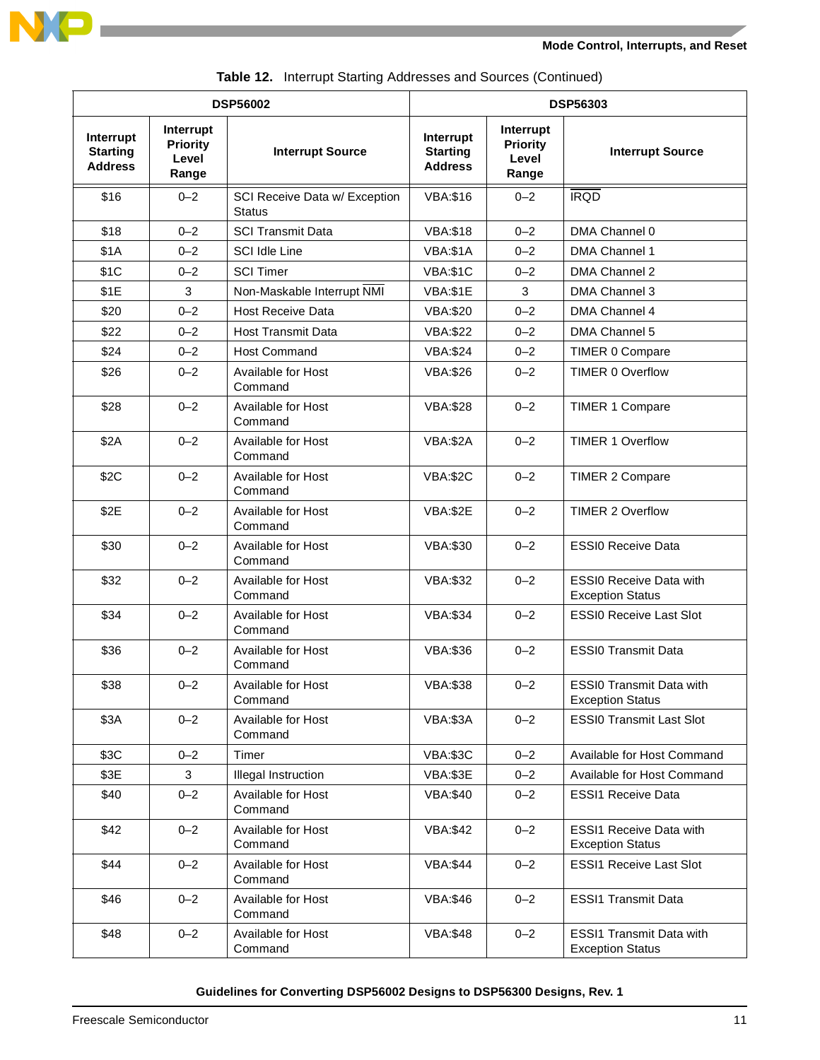

| <b>DSP56002</b>                                |                                                |                                         | <b>DSP56303</b>                                |                                                |                                                            |  |
|------------------------------------------------|------------------------------------------------|-----------------------------------------|------------------------------------------------|------------------------------------------------|------------------------------------------------------------|--|
| Interrupt<br><b>Starting</b><br><b>Address</b> | Interrupt<br><b>Priority</b><br>Level<br>Range | <b>Interrupt Source</b>                 | Interrupt<br><b>Starting</b><br><b>Address</b> | Interrupt<br><b>Priority</b><br>Level<br>Range | <b>Interrupt Source</b>                                    |  |
| \$16                                           | $0 - 2$                                        | SCI Receive Data w/ Exception<br>Status | <b>VBA:\$16</b>                                | $0 - 2$                                        | <b>IRQD</b>                                                |  |
| \$18                                           | $0 - 2$                                        | <b>SCI Transmit Data</b>                | <b>VBA:\$18</b>                                | $0 - 2$                                        | DMA Channel 0                                              |  |
| \$1A                                           | $0 - 2$                                        | <b>SCI Idle Line</b>                    | VBA:\$1A                                       | $0 - 2$                                        | DMA Channel 1                                              |  |
| \$1C                                           | $0 - 2$                                        | <b>SCI Timer</b>                        | <b>VBA:\$1C</b>                                | $0 - 2$                                        | DMA Channel 2                                              |  |
| \$1E                                           | 3                                              | Non-Maskable Interrupt NMI              | VBA:\$1E                                       | 3                                              | DMA Channel 3                                              |  |
| \$20                                           | $0 - 2$                                        | <b>Host Receive Data</b>                | <b>VBA:\$20</b>                                | $0 - 2$                                        | DMA Channel 4                                              |  |
| \$22                                           | $0 - 2$                                        | <b>Host Transmit Data</b>               | <b>VBA:\$22</b>                                | $0 - 2$                                        | DMA Channel 5                                              |  |
| \$24                                           | $0 - 2$                                        | <b>Host Command</b>                     | <b>VBA:\$24</b>                                | $0 - 2$                                        | <b>TIMER 0 Compare</b>                                     |  |
| \$26                                           | $0 - 2$                                        | Available for Host<br>Command           | <b>VBA:\$26</b>                                | $0 - 2$                                        | TIMER 0 Overflow                                           |  |
| \$28                                           | $0 - 2$                                        | Available for Host<br>Command           | <b>VBA:\$28</b>                                | $0 - 2$                                        | <b>TIMER 1 Compare</b>                                     |  |
| \$2A                                           | $0 - 2$                                        | <b>Available for Host</b><br>Command    | <b>VBA:\$2A</b>                                | $0 - 2$                                        | <b>TIMER 1 Overflow</b>                                    |  |
| \$2C                                           | $0 - 2$                                        | Available for Host<br>Command           | VBA:\$2C                                       | $0 - 2$                                        | <b>TIMER 2 Compare</b>                                     |  |
| \$2E                                           | $0 - 2$                                        | Available for Host<br>Command           | VBA:\$2E                                       | $0 - 2$                                        | <b>TIMER 2 Overflow</b>                                    |  |
| \$30                                           | $0 - 2$                                        | <b>Available for Host</b><br>Command    | <b>VBA:\$30</b>                                | $0 - 2$                                        | <b>ESSI0 Receive Data</b>                                  |  |
| \$32                                           | $0 - 2$                                        | <b>Available for Host</b><br>Command    | <b>VBA:\$32</b>                                | $0 - 2$                                        | <b>ESSI0 Receive Data with</b><br><b>Exception Status</b>  |  |
| \$34                                           | $0 - 2$                                        | Available for Host<br>Command           | <b>VBA:\$34</b>                                | $0 - 2$                                        | <b>ESSIO Receive Last Slot</b>                             |  |
| \$36                                           | $0 - 2$                                        | Available for Host<br>Command           | <b>VBA:\$36</b>                                | $0 - 2$                                        | <b>ESSI0 Transmit Data</b>                                 |  |
| \$38                                           | $0 - 2$                                        | Available for Host<br>Command           | <b>VBA:\$38</b>                                | $0 - 2$                                        | ESSI0 Transmit Data with<br><b>Exception Status</b>        |  |
| \$3A                                           | $0 - 2$                                        | Available for Host<br>Command           | VBA:\$3A                                       | $0 - 2$                                        | <b>ESSI0 Transmit Last Slot</b>                            |  |
| \$3C                                           | $0 - 2$                                        | Timer                                   | VBA:\$3C                                       | $0 - 2$                                        | Available for Host Command                                 |  |
| \$3E                                           | 3                                              | Illegal Instruction                     | VBA:\$3E                                       | $0 - 2$                                        | Available for Host Command                                 |  |
| \$40                                           | $0 - 2$                                        | Available for Host<br>Command           | <b>VBA:\$40</b>                                | $0 - 2$                                        | <b>ESSI1 Receive Data</b>                                  |  |
| \$42                                           | $0 - 2$                                        | Available for Host<br>Command           | <b>VBA:\$42</b>                                | $0 - 2$                                        | <b>ESSI1 Receive Data with</b><br><b>Exception Status</b>  |  |
| \$44                                           | $0 - 2$                                        | Available for Host<br>Command           | <b>VBA:\$44</b>                                | $0 - 2$                                        | <b>ESSI1 Receive Last Slot</b>                             |  |
| \$46                                           | $0 - 2$                                        | Available for Host<br>Command           | <b>VBA:\$46</b>                                | $0 - 2$                                        | <b>ESSI1 Transmit Data</b>                                 |  |
| \$48                                           | $0 - 2$                                        | Available for Host<br>Command           | <b>VBA:\$48</b>                                | $0 - 2$                                        | <b>ESSI1 Transmit Data with</b><br><b>Exception Status</b> |  |

**Table 12.** Interrupt Starting Addresses and Sources (Continued)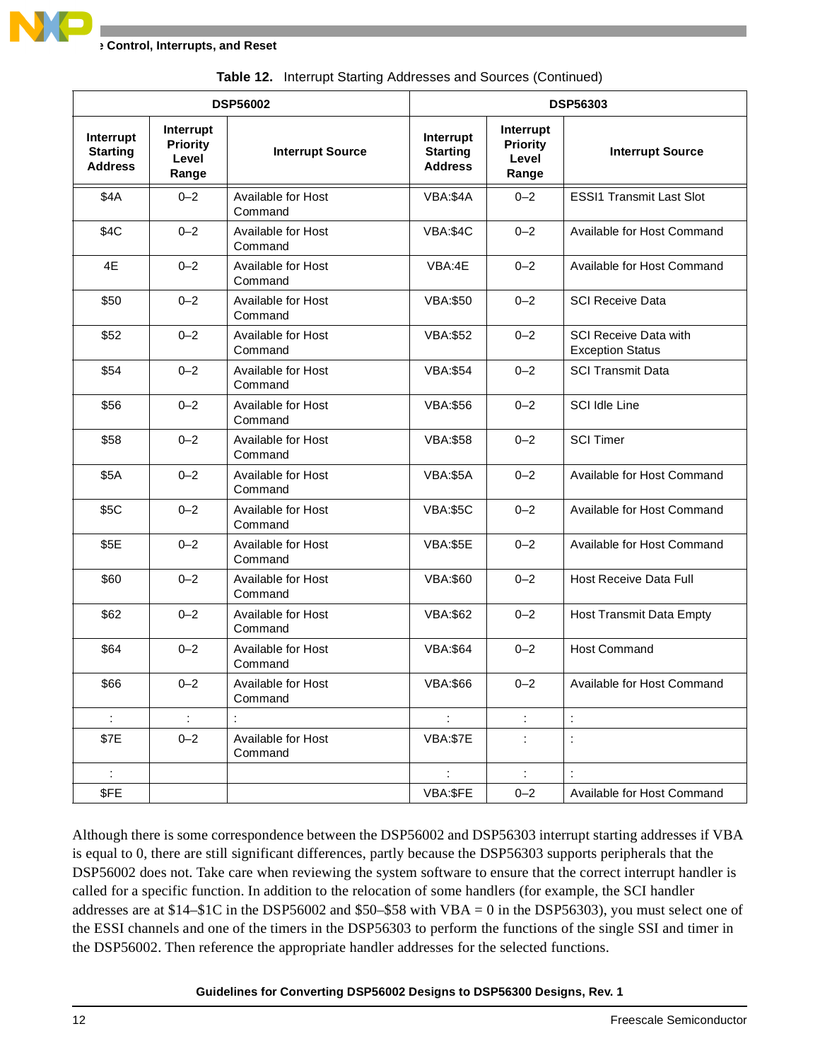| <b>DSP56002</b>                                |                                                |                               | <b>DSP56303</b>                                |                                                |                                                         |
|------------------------------------------------|------------------------------------------------|-------------------------------|------------------------------------------------|------------------------------------------------|---------------------------------------------------------|
| Interrupt<br><b>Starting</b><br><b>Address</b> | Interrupt<br><b>Priority</b><br>Level<br>Range | <b>Interrupt Source</b>       | Interrupt<br><b>Starting</b><br><b>Address</b> | Interrupt<br><b>Priority</b><br>Level<br>Range | <b>Interrupt Source</b>                                 |
| \$4A                                           | $0 - 2$                                        | Available for Host<br>Command | VBA:\$4A                                       | $0 - 2$                                        | <b>ESSI1 Transmit Last Slot</b>                         |
| \$4C                                           | $0 - 2$                                        | Available for Host<br>Command | VBA:\$4C                                       | $0 - 2$                                        | Available for Host Command                              |
| 4E                                             | $0 - 2$                                        | Available for Host<br>Command | VBA:4E                                         | $0 - 2$                                        | Available for Host Command                              |
| \$50                                           | $0 - 2$                                        | Available for Host<br>Command | <b>VBA:\$50</b>                                | $0 - 2$                                        | <b>SCI Receive Data</b>                                 |
| \$52                                           | $0 - 2$                                        | Available for Host<br>Command | <b>VBA:\$52</b>                                | $0 - 2$                                        | <b>SCI Receive Data with</b><br><b>Exception Status</b> |
| \$54                                           | $0 - 2$                                        | Available for Host<br>Command | <b>VBA:\$54</b>                                | $0 - 2$                                        | <b>SCI Transmit Data</b>                                |
| \$56                                           | $0 - 2$                                        | Available for Host<br>Command | <b>VBA:\$56</b>                                | $0 - 2$                                        | SCI Idle Line                                           |
| \$58                                           | $0 - 2$                                        | Available for Host<br>Command | <b>VBA:\$58</b>                                | $0 - 2$                                        | <b>SCI Timer</b>                                        |
| \$5A                                           | $0 - 2$                                        | Available for Host<br>Command | VBA:\$5A                                       | $0 - 2$                                        | Available for Host Command                              |
| \$5C                                           | $0 - 2$                                        | Available for Host<br>Command | VBA:\$5C                                       | $0 - 2$                                        | Available for Host Command                              |
| \$5E                                           | $0 - 2$                                        | Available for Host<br>Command | VBA:\$5E                                       | $0 - 2$                                        | Available for Host Command                              |
| \$60                                           | $0 - 2$                                        | Available for Host<br>Command | <b>VBA:\$60</b>                                | $0 - 2$                                        | <b>Host Receive Data Full</b>                           |
| \$62                                           | $0 - 2$                                        | Available for Host<br>Command | <b>VBA:\$62</b>                                | $0 - 2$                                        | <b>Host Transmit Data Empty</b>                         |
| \$64                                           | $0 - 2$                                        | Available for Host<br>Command | <b>VBA:\$64</b>                                | $0 - 2$                                        | <b>Host Command</b>                                     |
| \$66                                           | $0 - 2$                                        | Available for Host<br>Command | <b>VBA:\$66</b>                                | $0 - 2$                                        | Available for Host Command                              |
|                                                | $\ddot{\cdot}$                                 |                               |                                                |                                                | $\ddot{\phantom{a}}$                                    |
| \$7E                                           | $0 - 2$                                        | Available for Host<br>Command | <b>VBA:\$7E</b>                                |                                                | $\ddot{\cdot}$                                          |
| ÷                                              |                                                |                               | ÷                                              | ÷                                              |                                                         |
| \$FE                                           |                                                |                               | VBA:\$FE                                       | $0 - 2$                                        | Available for Host Command                              |

**Table 12.** Interrupt Starting Addresses and Sources (Continued)

Although there is some correspondence between the DSP56002 and DSP56303 interrupt starting addresses if VBA is equal to 0, there are still significant differences, partly because the DSP56303 supports peripherals that the DSP56002 does not. Take care when reviewing the system software to ensure that the correct interrupt handler is called for a specific function. In addition to the relocation of some handlers (for example, the SCI handler addresses are at \$14–\$1C in the DSP56002 and \$50–\$58 with VBA = 0 in the DSP56303), you must select one of the ESSI channels and one of the timers in the DSP56303 to perform the functions of the single SSI and timer in the DSP56002. Then reference the appropriate handler addresses for the selected functions.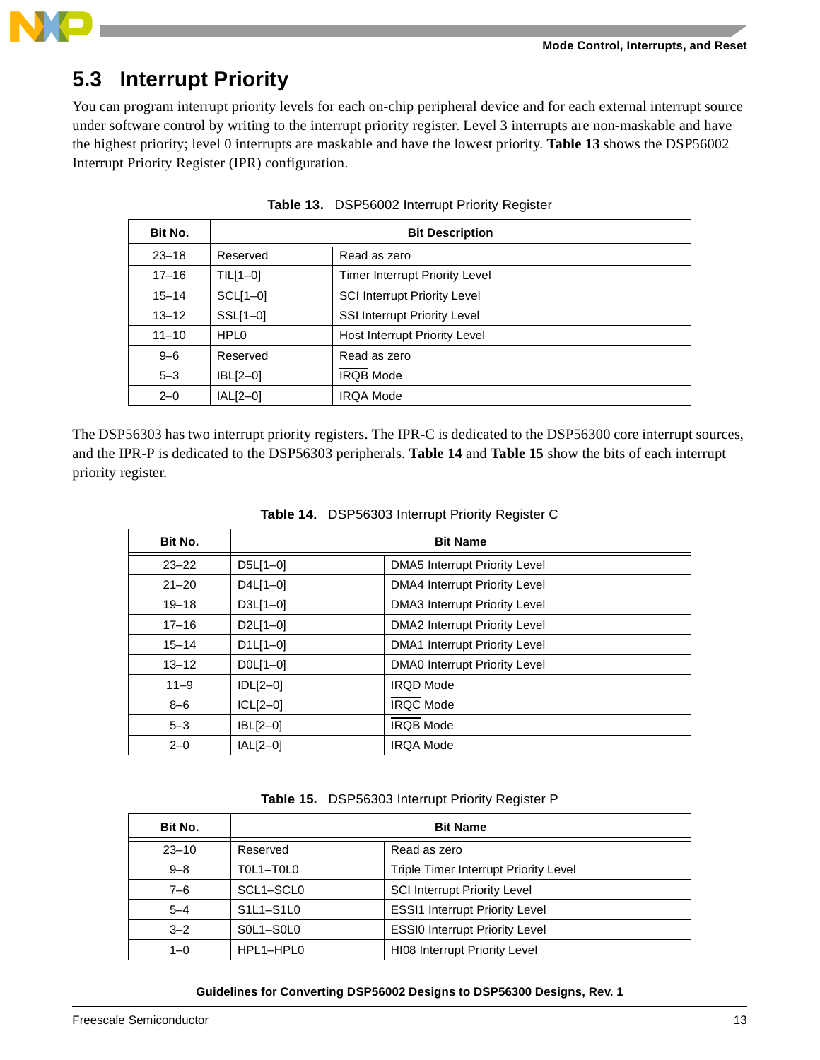

### **5.3 Interrupt Priority**

You can program interrupt priority levels for each on-chip peripheral device and for each external interrupt source under software control by writing to the interrupt priority register. Level 3 interrupts are non-maskable and have the highest priority; level 0 interrupts are maskable and have the lowest priority. **[Table 13](#page-12-0)** shows the DSP56002 Interrupt Priority Register (IPR) configuration.

<span id="page-12-0"></span>

| Bit No.   | <b>Bit Description</b> |                                       |  |
|-----------|------------------------|---------------------------------------|--|
| $23 - 18$ | Reserved               | Read as zero                          |  |
| $17 - 16$ | $TL[1-0]$              | <b>Timer Interrupt Priority Level</b> |  |
| $15 - 14$ | $SCL[1-0]$             | <b>SCI Interrupt Priority Level</b>   |  |
| $13 - 12$ | SSL[1-0]               | <b>SSI Interrupt Priority Level</b>   |  |
| $11 - 10$ | HPL <sub>0</sub>       | <b>Host Interrupt Priority Level</b>  |  |
| $9 - 6$   | Reserved               | Read as zero                          |  |
| $5 - 3$   | $ BL[2-0]$             | <b>IRQB Mode</b>                      |  |
| $2 - 0$   | $ AL[2-0]$             | <b>IRQA Mode</b>                      |  |

| Table 13. DSP56002 Interrupt Priority Register |  |  |
|------------------------------------------------|--|--|
|                                                |  |  |

The DSP56303 has two interrupt priority registers. The IPR-C is dedicated to the DSP56300 core interrupt sources, and the IPR-P is dedicated to the DSP56303 peripherals. **[Table 14](#page-12-1)** and **[Table 15](#page-12-2)** show the bits of each interrupt priority register.

<span id="page-12-1"></span>

| Bit No.   | <b>Bit Name</b> |                                      |  |
|-----------|-----------------|--------------------------------------|--|
| $23 - 22$ | $D5L[1-0]$      | <b>DMA5</b> Interrupt Priority Level |  |
| $21 - 20$ | $D4L[1-0]$      | <b>DMA4 Interrupt Priority Level</b> |  |
| $19 - 18$ | $D3L[1-0]$      | <b>DMA3 Interrupt Priority Level</b> |  |
| $17 - 16$ | $D2L[1-0]$      | <b>DMA2</b> Interrupt Priority Level |  |
| $15 - 14$ | $D1L[1-0]$      | <b>DMA1</b> Interrupt Priority Level |  |
| $13 - 12$ | $DOL[1-0]$      | <b>DMA0</b> Interrupt Priority Level |  |
| $11 - 9$  | $ DL[2-0]$      | <b>IRQD Mode</b>                     |  |
| $8 - 6$   | $ICL[2-0]$      | <b>IRQC Mode</b>                     |  |
| $5 - 3$   | $ BL[2-0]$      | <b>IROB</b> Mode                     |  |
| $2 - 0$   | $ AL[2-0]$      | <b>IRQA Mode</b>                     |  |

| Table 14. DSP56303 Interrupt Priority Register C |  |  |
|--------------------------------------------------|--|--|
|                                                  |  |  |

#### **Table 15.** DSP56303 Interrupt Priority Register P

<span id="page-12-2"></span>

| Bit No.   | <b>Bit Name</b>                                              |                                              |  |
|-----------|--------------------------------------------------------------|----------------------------------------------|--|
| $23 - 10$ | Reserved                                                     | Read as zero                                 |  |
| $9 - 8$   | TOL1-TOLO                                                    | <b>Triple Timer Interrupt Priority Level</b> |  |
| $7 - 6$   | SCL1-SCL0                                                    | <b>SCI Interrupt Priority Level</b>          |  |
| $5 - 4$   | S <sub>1</sub> L <sub>1</sub> -S <sub>1</sub> L <sub>0</sub> | <b>ESSI1 Interrupt Priority Level</b>        |  |
| $3 - 2$   | $SOL1-SOL0$                                                  | <b>ESSI0 Interrupt Priority Level</b>        |  |
| $1 - 0$   | HPL1-HPL0                                                    | <b>HI08 Interrupt Priority Level</b>         |  |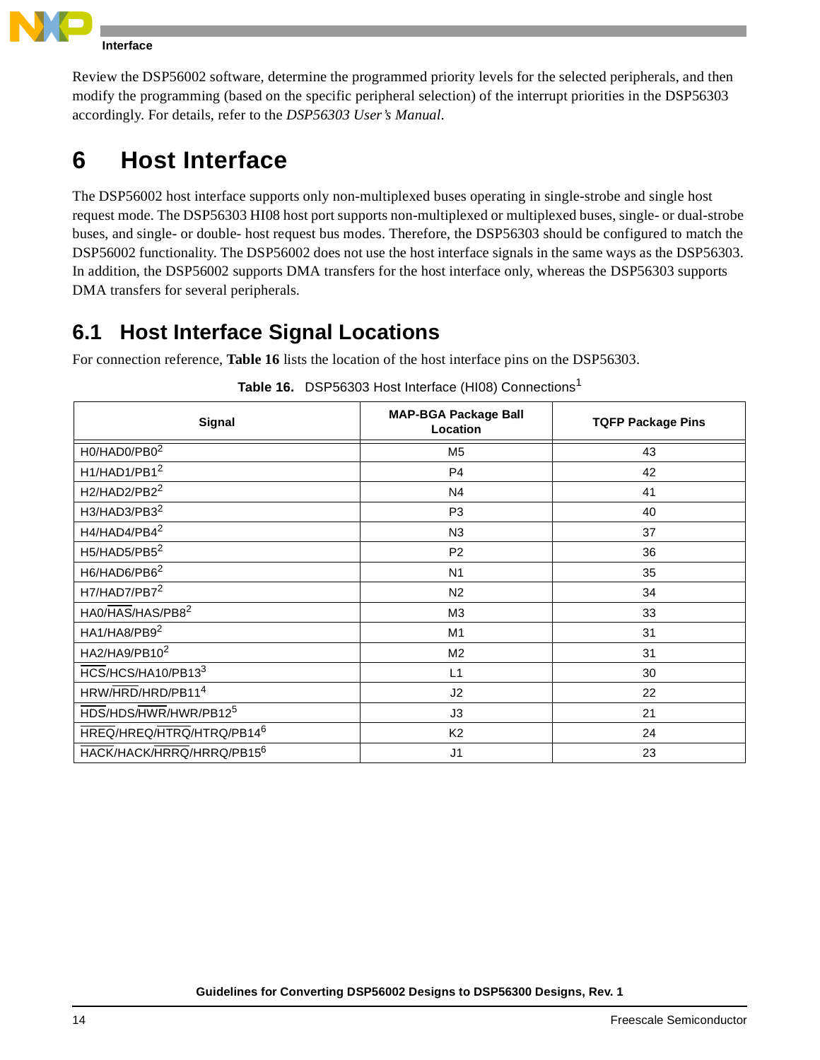

**Host Interface**

Review the DSP56002 software, determine the programmed priority levels for the selected peripherals, and then modify the programming (based on the specific peripheral selection) of the interrupt priorities in the DSP56303 accordingly. For details, refer to the *DSP56303 User's Manual*.

# **6 Host Interface**

The DSP56002 host interface supports only non-multiplexed buses operating in single-strobe and single host request mode. The DSP56303 HI08 host port supports non-multiplexed or multiplexed buses, single- or dual-strobe buses, and single- or double- host request bus modes. Therefore, the DSP56303 should be configured to match the DSP56002 functionality. The DSP56002 does not use the host interface signals in the same ways as the DSP56303. In addition, the DSP56002 supports DMA transfers for the host interface only, whereas the DSP56303 supports DMA transfers for several peripherals.

### **6.1 Host Interface Signal Locations**

For connection reference, **[Table 16](#page-13-0)** lists the location of the host interface pins on the DSP56303.

<span id="page-13-0"></span>

| <b>Signal</b>                         | <b>MAP-BGA Package Ball</b><br>Location | <b>TQFP Package Pins</b> |
|---------------------------------------|-----------------------------------------|--------------------------|
| H0/HAD0/PB0 <sup>2</sup>              | M <sub>5</sub>                          | 43                       |
| H1/HAD1/PB1 <sup>2</sup>              | P <sub>4</sub>                          | 42                       |
| H2/HAD2/PB2 <sup>2</sup>              | N4                                      | 41                       |
| H3/HAD3/PB3 <sup>2</sup>              | P <sub>3</sub>                          | 40                       |
| H4/HAD4/PB4 <sup>2</sup>              | N <sub>3</sub>                          | 37                       |
| H5/HAD5/PB5 <sup>2</sup>              | P <sub>2</sub>                          | 36                       |
| H6/HAD6/PB6 <sup>2</sup>              | N <sub>1</sub>                          | 35                       |
| H7/HAD7/PB7 <sup>2</sup>              | N <sub>2</sub>                          | 34                       |
| HA0/HAS/HAS/PB8 <sup>2</sup>          | M <sub>3</sub>                          | 33                       |
| HA1/HA8/PB9 <sup>2</sup>              | M <sub>1</sub>                          | 31                       |
| HA2/HA9/PB10 <sup>2</sup>             | M <sub>2</sub>                          | 31                       |
| HCS/HCS/HA10/PB133                    | L1                                      | 30                       |
| HRW/HRD/HRD/PB11 <sup>4</sup>         | J <sub>2</sub>                          | 22                       |
| HDS/HDS/HWR/HWR/PB12 <sup>5</sup>     | J3                                      | 21                       |
| HREQ/HREQ/HTRQ/HTRQ/PB14 <sup>6</sup> | K <sub>2</sub>                          | 24                       |
| HACK/HACK/HRRQ/HRRQ/PB15 <sup>6</sup> | J <sub>1</sub>                          | 23                       |

| Table 16. DSP56303 Host Interface (HI08) Connections <sup>1</sup> |  |
|-------------------------------------------------------------------|--|
|                                                                   |  |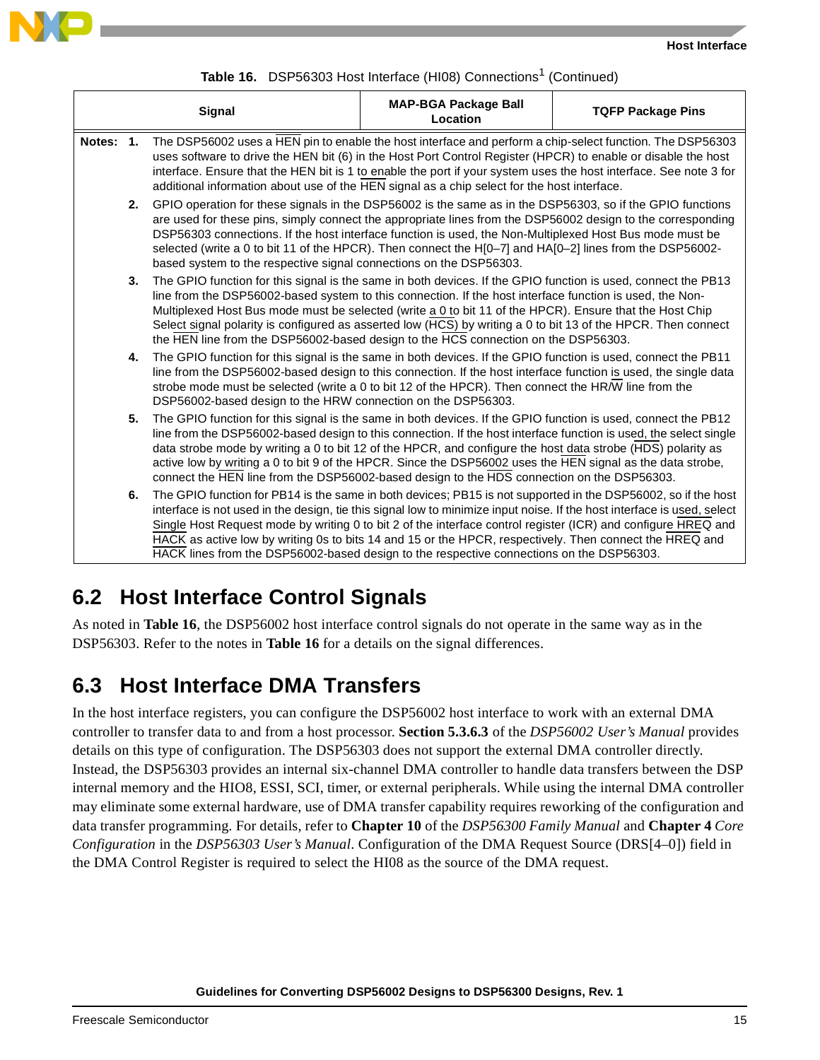



| Table 16. DSP56303 Host Interface (HI08) Connections <sup>1</sup> (Continued) |  |  |  |  |
|-------------------------------------------------------------------------------|--|--|--|--|
|-------------------------------------------------------------------------------|--|--|--|--|

| Signal |                                                                                                                                                                                                                                                                                                                                                                                                                                                             |                                                                                                                                                                                                                                                                                                                                                                                                                                                                                                                                                                  | <b>MAP-BGA Package Ball</b><br>Location                                                                                                                                                                                                                                                                                                                                                                                                                                                                                                                       | <b>TQFP Package Pins</b> |  |
|--------|-------------------------------------------------------------------------------------------------------------------------------------------------------------------------------------------------------------------------------------------------------------------------------------------------------------------------------------------------------------------------------------------------------------------------------------------------------------|------------------------------------------------------------------------------------------------------------------------------------------------------------------------------------------------------------------------------------------------------------------------------------------------------------------------------------------------------------------------------------------------------------------------------------------------------------------------------------------------------------------------------------------------------------------|---------------------------------------------------------------------------------------------------------------------------------------------------------------------------------------------------------------------------------------------------------------------------------------------------------------------------------------------------------------------------------------------------------------------------------------------------------------------------------------------------------------------------------------------------------------|--------------------------|--|
|        | The DSP56002 uses a HEN pin to enable the host interface and perform a chip-select function. The DSP56303<br>Notes: 1.<br>uses software to drive the HEN bit (6) in the Host Port Control Register (HPCR) to enable or disable the host<br>interface. Ensure that the HEN bit is 1 to enable the port if your system uses the host interface. See note 3 for<br>additional information about use of the HEN signal as a chip select for the host interface. |                                                                                                                                                                                                                                                                                                                                                                                                                                                                                                                                                                  |                                                                                                                                                                                                                                                                                                                                                                                                                                                                                                                                                               |                          |  |
|        | 2.                                                                                                                                                                                                                                                                                                                                                                                                                                                          | GPIO operation for these signals in the DSP56002 is the same as in the DSP56303, so if the GPIO functions<br>are used for these pins, simply connect the appropriate lines from the DSP56002 design to the corresponding<br>DSP56303 connections. If the host interface function is used, the Non-Multiplexed Host Bus mode must be<br>selected (write a 0 to bit 11 of the HPCR). Then connect the H[0-7] and HA[0-2] lines from the DSP56002-<br>based system to the respective signal connections on the DSP56303.                                            |                                                                                                                                                                                                                                                                                                                                                                                                                                                                                                                                                               |                          |  |
|        | 3.                                                                                                                                                                                                                                                                                                                                                                                                                                                          | The GPIO function for this signal is the same in both devices. If the GPIO function is used, connect the PB13<br>line from the DSP56002-based system to this connection. If the host interface function is used, the Non-<br>Multiplexed Host Bus mode must be selected (write a 0 to bit 11 of the HPCR). Ensure that the Host Chip<br>Select signal polarity is configured as asserted low (HCS) by writing a 0 to bit 13 of the HPCR. Then connect<br>the HEN line from the DSP56002-based design to the HCS connection on the DSP56303.                      |                                                                                                                                                                                                                                                                                                                                                                                                                                                                                                                                                               |                          |  |
|        | 4.                                                                                                                                                                                                                                                                                                                                                                                                                                                          | The GPIO function for this signal is the same in both devices. If the GPIO function is used, connect the PB11<br>line from the DSP56002-based design to this connection. If the host interface function is used, the single data<br>strobe mode must be selected (write a 0 to bit 12 of the HPCR). Then connect the HR/W line from the<br>DSP56002-based design to the HRW connection on the DSP56303.                                                                                                                                                          |                                                                                                                                                                                                                                                                                                                                                                                                                                                                                                                                                               |                          |  |
|        | 5.                                                                                                                                                                                                                                                                                                                                                                                                                                                          |                                                                                                                                                                                                                                                                                                                                                                                                                                                                                                                                                                  | The GPIO function for this signal is the same in both devices. If the GPIO function is used, connect the PB12<br>line from the DSP56002-based design to this connection. If the host interface function is used, the select single<br>data strobe mode by writing a 0 to bit 12 of the HPCR, and configure the host data strobe (HDS) polarity as<br>active low by writing a 0 to bit 9 of the HPCR. Since the DSP56002 uses the HEN signal as the data strobe,<br>connect the HEN line from the DSP56002-based design to the HDS connection on the DSP56303. |                          |  |
|        | 6.                                                                                                                                                                                                                                                                                                                                                                                                                                                          | The GPIO function for PB14 is the same in both devices; PB15 is not supported in the DSP56002, so if the host<br>interface is not used in the design, tie this signal low to minimize input noise. If the host interface is used, select<br>Single Host Request mode by writing 0 to bit 2 of the interface control register (ICR) and configure HREQ and<br>HACK as active low by writing 0s to bits 14 and 15 or the HPCR, respectively. Then connect the HREQ and<br>HACK lines from the DSP56002-based design to the respective connections on the DSP56303. |                                                                                                                                                                                                                                                                                                                                                                                                                                                                                                                                                               |                          |  |

### **6.2 Host Interface Control Signals**

As noted in **[Table 16](#page-13-0)**, the DSP56002 host interface control signals do not operate in the same way as in the DSP56303. Refer to the notes in **[Table 16](#page-13-0)** for a details on the signal differences.

### **6.3 Host Interface DMA Transfers**

In the host interface registers, you can configure the DSP56002 host interface to work with an external DMA controller to transfer data to and from a host processor. **Section 5.3.6.3** of the *DSP56002 User's Manual* provides details on this type of configuration. The DSP56303 does not support the external DMA controller directly. Instead, the DSP56303 provides an internal six-channel DMA controller to handle data transfers between the DSP internal memory and the HIO8, ESSI, SCI, timer, or external peripherals. While using the internal DMA controller may eliminate some external hardware, use of DMA transfer capability requires reworking of the configuration and data transfer programming. For details, refer to **Chapter 10** of the *DSP56300 Family Manual* and **Chapter 4** *Core Configuration* in the *DSP56303 User's Manual*. Configuration of the DMA Request Source (DRS[4–0]) field in the DMA Control Register is required to select the HI08 as the source of the DMA request.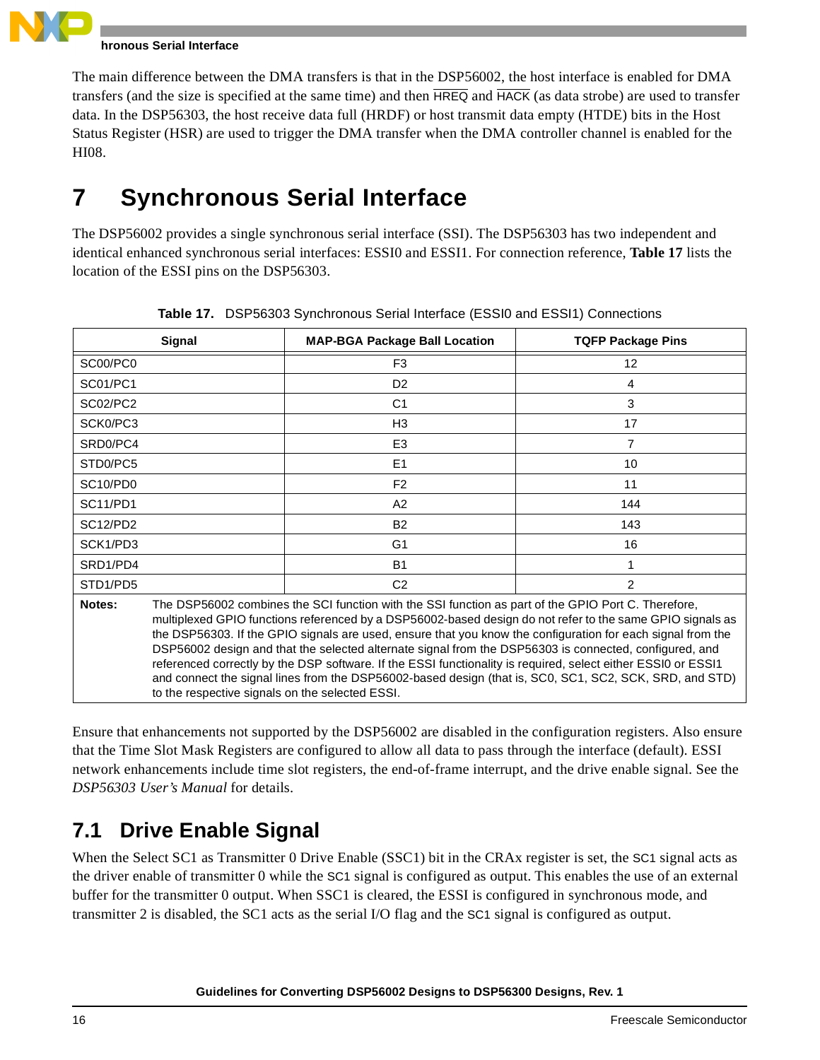

#### **hronous Serial Interface**

The main difference between the DMA transfers is that in the DSP56002, the host interface is enabled for DMA transfers (and the size is specified at the same time) and then HREQ and HACK (as data strobe) are used to transfer data. In the DSP56303, the host receive data full (HRDF) or host transmit data empty (HTDE) bits in the Host Status Register (HSR) are used to trigger the DMA transfer when the DMA controller channel is enabled for the HI08.

# **7 Synchronous Serial Interface**

The DSP56002 provides a single synchronous serial interface (SSI). The DSP56303 has two independent and identical enhanced synchronous serial interfaces: ESSI0 and ESSI1. For connection reference, **[Table 17](#page-15-0)** lists the location of the ESSI pins on the DSP56303.

<span id="page-15-0"></span>

| Signal   |                                                                                                                                                                                                                                                                                                                                                                                                                                                                                                                                                                                                                                                                                                                          | <b>MAP-BGA Package Ball Location</b> | <b>TQFP Package Pins</b> |  |
|----------|--------------------------------------------------------------------------------------------------------------------------------------------------------------------------------------------------------------------------------------------------------------------------------------------------------------------------------------------------------------------------------------------------------------------------------------------------------------------------------------------------------------------------------------------------------------------------------------------------------------------------------------------------------------------------------------------------------------------------|--------------------------------------|--------------------------|--|
| SC00/PC0 |                                                                                                                                                                                                                                                                                                                                                                                                                                                                                                                                                                                                                                                                                                                          | F <sub>3</sub>                       | 12                       |  |
| SC01/PC1 |                                                                                                                                                                                                                                                                                                                                                                                                                                                                                                                                                                                                                                                                                                                          | D <sub>2</sub>                       | 4                        |  |
| SC02/PC2 |                                                                                                                                                                                                                                                                                                                                                                                                                                                                                                                                                                                                                                                                                                                          | C <sub>1</sub>                       | 3                        |  |
| SCK0/PC3 |                                                                                                                                                                                                                                                                                                                                                                                                                                                                                                                                                                                                                                                                                                                          | H3                                   | 17                       |  |
| SRD0/PC4 |                                                                                                                                                                                                                                                                                                                                                                                                                                                                                                                                                                                                                                                                                                                          | E <sub>3</sub>                       | 7                        |  |
| STD0/PC5 |                                                                                                                                                                                                                                                                                                                                                                                                                                                                                                                                                                                                                                                                                                                          | E <sub>1</sub>                       | 10                       |  |
| SC10/PD0 |                                                                                                                                                                                                                                                                                                                                                                                                                                                                                                                                                                                                                                                                                                                          | F <sub>2</sub>                       | 11                       |  |
| SC11/PD1 |                                                                                                                                                                                                                                                                                                                                                                                                                                                                                                                                                                                                                                                                                                                          | A2                                   | 144                      |  |
| SC12/PD2 |                                                                                                                                                                                                                                                                                                                                                                                                                                                                                                                                                                                                                                                                                                                          | <b>B2</b>                            | 143                      |  |
| SCK1/PD3 |                                                                                                                                                                                                                                                                                                                                                                                                                                                                                                                                                                                                                                                                                                                          | G <sub>1</sub>                       | 16                       |  |
| SRD1/PD4 |                                                                                                                                                                                                                                                                                                                                                                                                                                                                                                                                                                                                                                                                                                                          | <b>B1</b>                            |                          |  |
| STD1/PD5 |                                                                                                                                                                                                                                                                                                                                                                                                                                                                                                                                                                                                                                                                                                                          | C <sub>2</sub>                       | 2                        |  |
| Notes:   | The DSP56002 combines the SCI function with the SSI function as part of the GPIO Port C. Therefore,<br>multiplexed GPIO functions referenced by a DSP56002-based design do not refer to the same GPIO signals as<br>the DSP56303. If the GPIO signals are used, ensure that you know the configuration for each signal from the<br>DSP56002 design and that the selected alternate signal from the DSP56303 is connected, configured, and<br>referenced correctly by the DSP software. If the ESSI functionality is required, select either ESSI0 or ESSI1<br>and connect the signal lines from the DSP56002-based design (that is, SC0, SC1, SC2, SCK, SRD, and STD)<br>to the respective signals on the selected ESSI. |                                      |                          |  |

**Table 17.** DSP56303 Synchronous Serial Interface (ESSI0 and ESSI1) Connections

Ensure that enhancements not supported by the DSP56002 are disabled in the configuration registers. Also ensure that the Time Slot Mask Registers are configured to allow all data to pass through the interface (default). ESSI network enhancements include time slot registers, the end-of-frame interrupt, and the drive enable signal. See the *DSP56303 User's Manual* for details.

### **7.1 Drive Enable Signal**

When the Select SC1 as Transmitter 0 Drive Enable (SSC1) bit in the CRAx register is set, the SC1 signal acts as the driver enable of transmitter 0 while the SC1 signal is configured as output. This enables the use of an external buffer for the transmitter 0 output. When SSC1 is cleared, the ESSI is configured in synchronous mode, and transmitter 2 is disabled, the SC1 acts as the serial I/O flag and the SC1 signal is configured as output.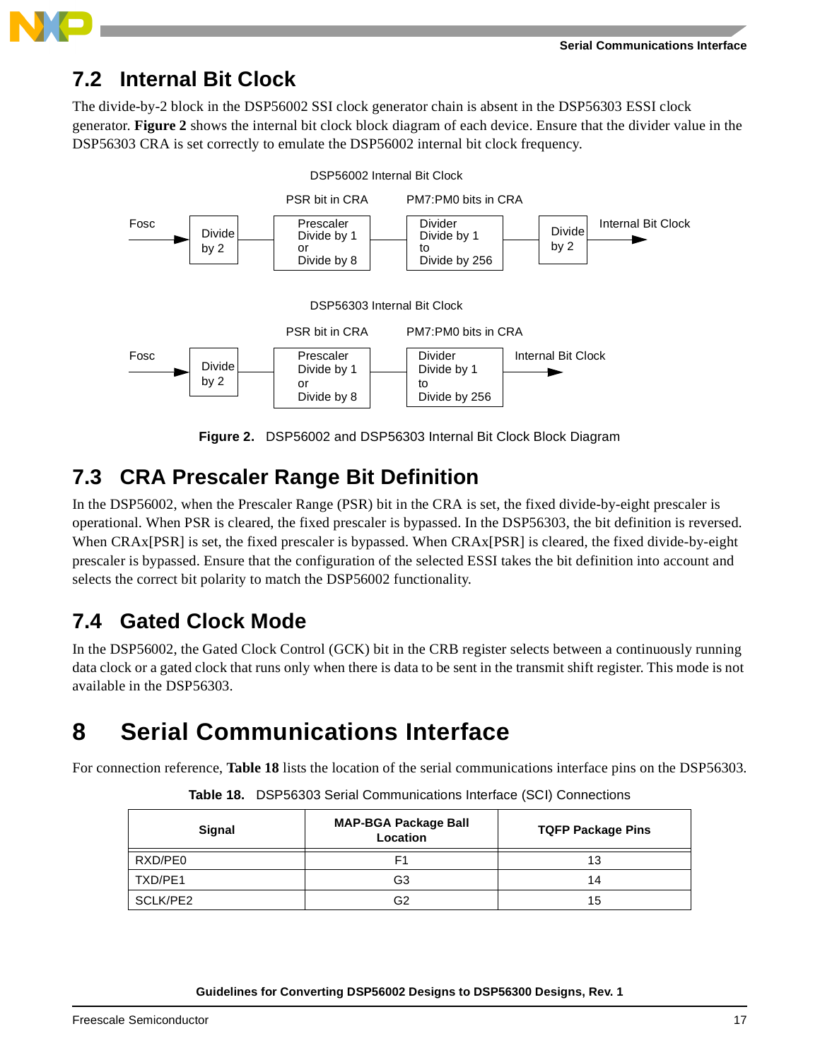

### **7.2 Internal Bit Clock**

The divide-by-2 block in the DSP56002 SSI clock generator chain is absent in the DSP56303 ESSI clock generator. **[Figure 2](#page-16-0)** shows the internal bit clock block diagram of each device. Ensure that the divider value in the DSP56303 CRA is set correctly to emulate the DSP56002 internal bit clock frequency.



**Figure 2.** DSP56002 and DSP56303 Internal Bit Clock Block Diagram

### <span id="page-16-0"></span>**7.3 CRA Prescaler Range Bit Definition**

In the DSP56002, when the Prescaler Range (PSR) bit in the CRA is set, the fixed divide-by-eight prescaler is operational. When PSR is cleared, the fixed prescaler is bypassed. In the DSP56303, the bit definition is reversed. When CRAx[PSR] is set, the fixed prescaler is bypassed. When CRAx[PSR] is cleared, the fixed divide-by-eight prescaler is bypassed. Ensure that the configuration of the selected ESSI takes the bit definition into account and selects the correct bit polarity to match the DSP56002 functionality.

### **7.4 Gated Clock Mode**

In the DSP56002, the Gated Clock Control (GCK) bit in the CRB register selects between a continuously running data clock or a gated clock that runs only when there is data to be sent in the transmit shift register. This mode is not available in the DSP56303.

# **8 Serial Communications Interface**

<span id="page-16-1"></span>For connection reference, **[Table 18](#page-16-1)** lists the location of the serial communications interface pins on the DSP56303.

| Signal   | <b>MAP-BGA Package Ball</b><br>Location | <b>TQFP Package Pins</b> |  |  |
|----------|-----------------------------------------|--------------------------|--|--|
| RXD/PE0  | F1                                      | 13                       |  |  |
| TXD/PE1  | G3                                      | 14                       |  |  |
| SCLK/PE2 | G2                                      | 15                       |  |  |

**Table 18.** DSP56303 Serial Communications Interface (SCI) Connections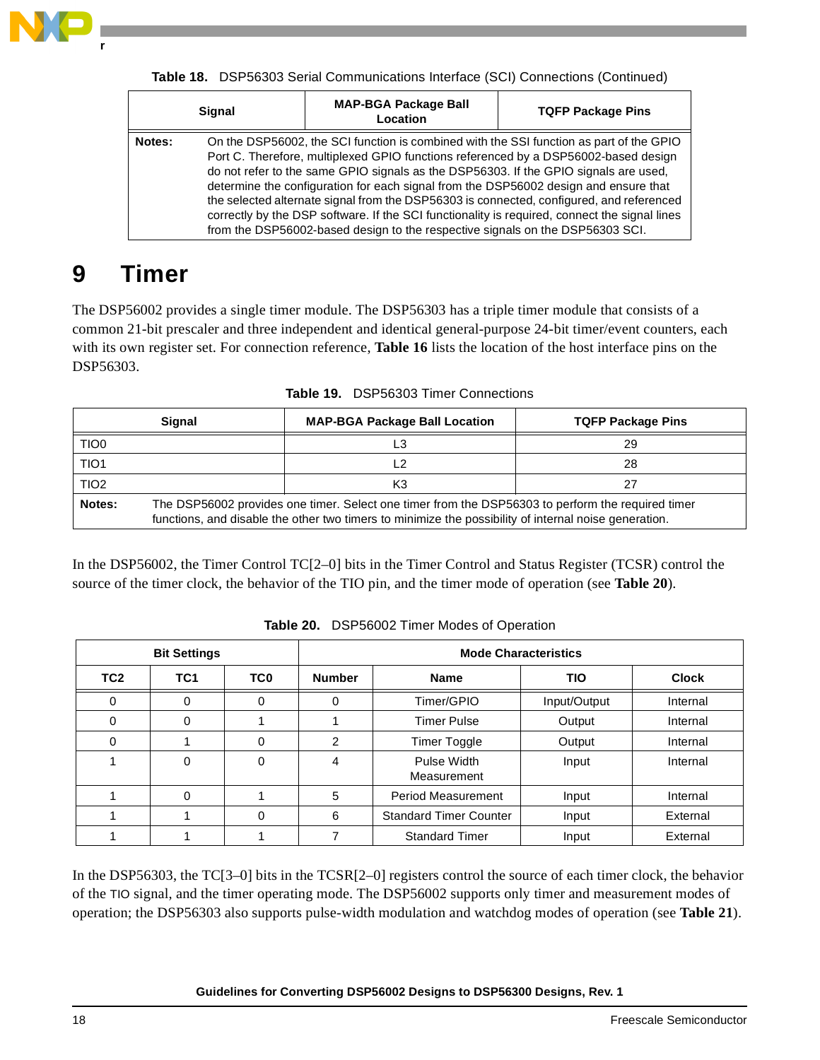

| <b>Signal</b> |                                                                                                                                                                                                                                                                                                                                                                                                                                                                                                                                                                                                                                              | <b>MAP-BGA Package Ball</b><br>Location | <b>TQFP Package Pins</b> |  |
|---------------|----------------------------------------------------------------------------------------------------------------------------------------------------------------------------------------------------------------------------------------------------------------------------------------------------------------------------------------------------------------------------------------------------------------------------------------------------------------------------------------------------------------------------------------------------------------------------------------------------------------------------------------------|-----------------------------------------|--------------------------|--|
| Notes:        | On the DSP56002, the SCI function is combined with the SSI function as part of the GPIO<br>Port C. Therefore, multiplexed GPIO functions referenced by a DSP56002-based design<br>do not refer to the same GPIO signals as the DSP56303. If the GPIO signals are used,<br>determine the configuration for each signal from the DSP56002 design and ensure that<br>the selected alternate signal from the DSP56303 is connected, configured, and referenced<br>correctly by the DSP software. If the SCI functionality is required, connect the signal lines<br>from the DSP56002-based design to the respective signals on the DSP56303 SCI. |                                         |                          |  |

**Table 18.** DSP56303 Serial Communications Interface (SCI) Connections (Continued)

# **9 Timer**

The DSP56002 provides a single timer module. The DSP56303 has a triple timer module that consists of a common 21-bit prescaler and three independent and identical general-purpose 24-bit timer/event counters, each with its own register set. For connection reference, **[Table 16](#page-13-0)** lists the location of the host interface pins on the DSP56303.

|                  | <b>Signal</b>                                                                                                                                                                                              | <b>MAP-BGA Package Ball Location</b> | <b>TQFP Package Pins</b> |  |  |  |
|------------------|------------------------------------------------------------------------------------------------------------------------------------------------------------------------------------------------------------|--------------------------------------|--------------------------|--|--|--|
| TIO <sub>0</sub> |                                                                                                                                                                                                            | L3                                   | 29                       |  |  |  |
| TIO <sub>1</sub> |                                                                                                                                                                                                            | L2                                   | 28                       |  |  |  |
| TIO <sub>2</sub> | K3<br>27                                                                                                                                                                                                   |                                      |                          |  |  |  |
| Notes:           | The DSP56002 provides one timer. Select one timer from the DSP56303 to perform the required timer<br>functions, and disable the other two timers to minimize the possibility of internal noise generation. |                                      |                          |  |  |  |

**Table 19.** DSP56303 Timer Connections

In the DSP56002, the Timer Control TC[2–0] bits in the Timer Control and Status Register (TCSR) control the source of the timer clock, the behavior of the TIO pin, and the timer mode of operation (see **[Table 20](#page-17-0)**).

<span id="page-17-0"></span>

|                 | <b>Bit Settings</b> |                 | <b>Mode Characteristics</b> |                                        |  |              |  |  |
|-----------------|---------------------|-----------------|-----------------------------|----------------------------------------|--|--------------|--|--|
| TC <sub>2</sub> | TC <sub>1</sub>     | TC <sub>0</sub> | <b>Number</b>               | <b>TIO</b><br><b>Name</b>              |  | <b>Clock</b> |  |  |
| $\Omega$        | 0                   | $\Omega$        | $\Omega$                    | Timer/GPIO<br>Input/Output             |  | Internal     |  |  |
| $\Omega$        | $\Omega$            |                 |                             | <b>Timer Pulse</b><br>Output           |  | Internal     |  |  |
| 0               |                     | 0               | 2                           | <b>Timer Toggle</b><br>Output          |  | Internal     |  |  |
|                 | 0                   | 0               | 4                           | Pulse Width<br>Input<br>Measurement    |  | Internal     |  |  |
|                 | 0                   |                 | 5                           | <b>Period Measurement</b><br>Input     |  | Internal     |  |  |
|                 |                     | $\Omega$        | 6                           | <b>Standard Timer Counter</b><br>Input |  | External     |  |  |
|                 |                     |                 |                             | <b>Standard Timer</b><br>Input         |  | External     |  |  |

**Table 20.** DSP56002 Timer Modes of Operation

In the DSP56303, the TC[3–0] bits in the TCSR[2–0] registers control the source of each timer clock, the behavior of the TIO signal, and the timer operating mode. The DSP56002 supports only timer and measurement modes of operation; the DSP56303 also supports pulse-width modulation and watchdog modes of operation (see **[Table 21](#page-18-0)**).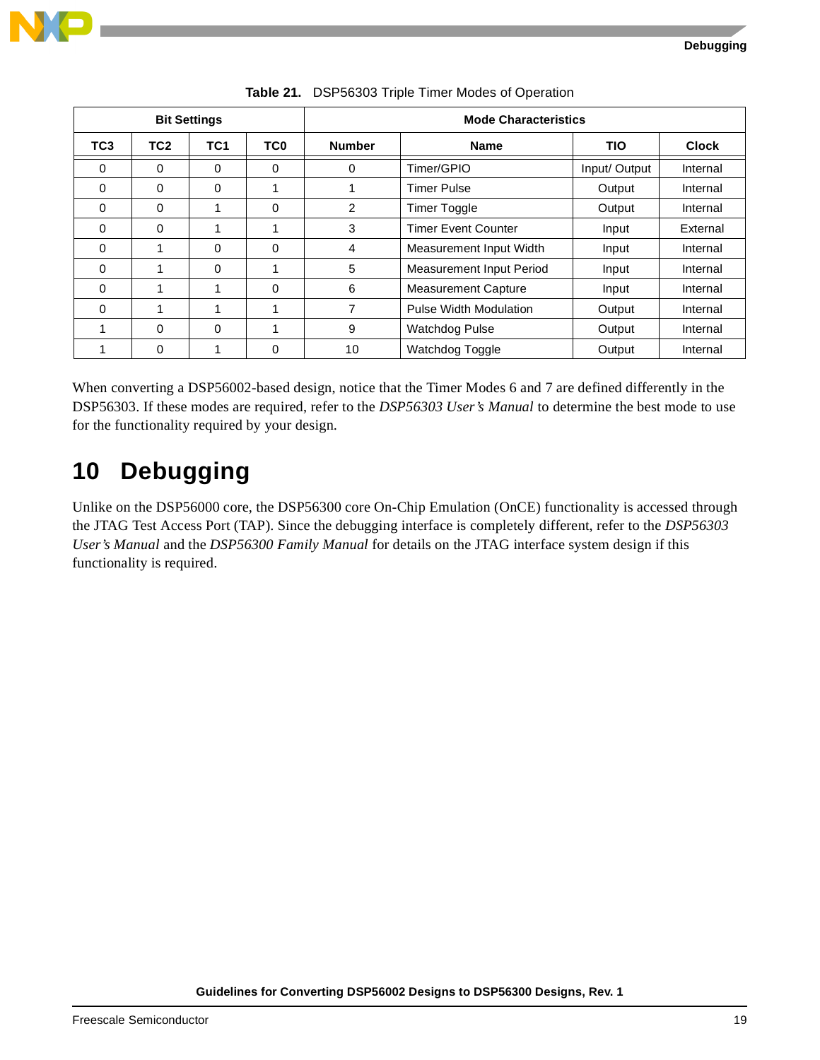

<span id="page-18-0"></span>

| <b>Bit Settings</b> |                 |                 |                 | <b>Mode Characteristics</b>  |                               |               |              |  |
|---------------------|-----------------|-----------------|-----------------|------------------------------|-------------------------------|---------------|--------------|--|
| TC <sub>3</sub>     | TC <sub>2</sub> | TC <sub>1</sub> | TC <sub>0</sub> | <b>Number</b><br><b>Name</b> |                               | <b>TIO</b>    | <b>Clock</b> |  |
| 0                   | 0               | 0               | 0               | $\Omega$                     | Timer/GPIO                    | Input/ Output | Internal     |  |
| 0                   | 0               | 0               |                 |                              | <b>Timer Pulse</b>            | Output        | Internal     |  |
| $\Omega$            | 0               |                 | 0               | 2                            | <b>Timer Toggle</b>           | Output        | Internal     |  |
| 0                   | 0               | 1               | 1               | 3                            | <b>Timer Event Counter</b>    | Input         | External     |  |
| 0                   | 1               | $\Omega$        | 0               | 4                            | Measurement Input Width       | Input         | Internal     |  |
| 0                   | 1               | $\Omega$        | 1               | 5                            | Measurement Input Period      | Input         | Internal     |  |
| $\Omega$            | 1               |                 | 0               | 6                            | <b>Measurement Capture</b>    | Input         | Internal     |  |
| $\Omega$            | 1               | 1               |                 | 7                            | <b>Pulse Width Modulation</b> | Output        | Internal     |  |
| 1                   | 0               | $\Omega$        |                 | 9                            | <b>Watchdog Pulse</b>         | Output        | Internal     |  |
|                     | 0               |                 | 0               | 10                           | Watchdog Toggle               | Output        | Internal     |  |

| Table 21. DSP56303 Triple Timer Modes of Operation |  |  |  |
|----------------------------------------------------|--|--|--|
|                                                    |  |  |  |

When converting a DSP56002-based design, notice that the Timer Modes 6 and 7 are defined differently in the DSP56303. If these modes are required, refer to the *DSP56303 User's Manual* to determine the best mode to use for the functionality required by your design.

# **10 Debugging**

Unlike on the DSP56000 core, the DSP56300 core On-Chip Emulation (OnCE) functionality is accessed through the JTAG Test Access Port (TAP). Since the debugging interface is completely different, refer to the *DSP56303 User's Manual* and the *DSP56300 Family Manual* for details on the JTAG interface system design if this functionality is required.